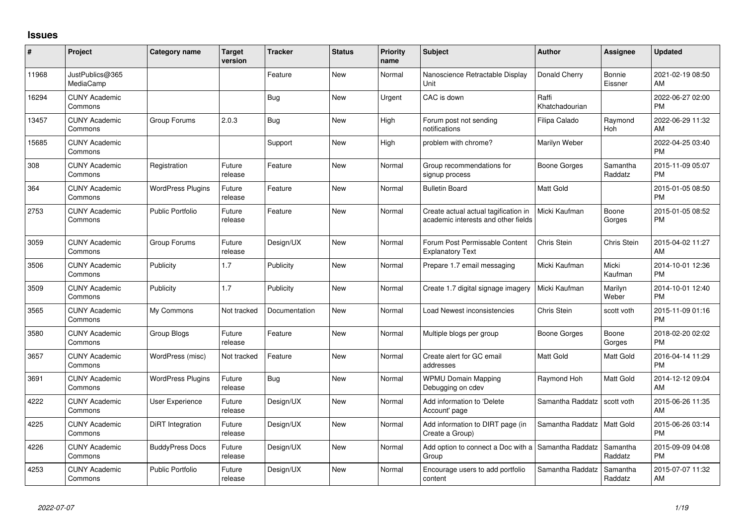## **Issues**

| #     | Project                         | Category name            | <b>Target</b><br>version | <b>Tracker</b> | <b>Status</b> | <b>Priority</b><br>name | Subject                                                                     | <b>Author</b>           | <b>Assignee</b>     | <b>Updated</b>                |
|-------|---------------------------------|--------------------------|--------------------------|----------------|---------------|-------------------------|-----------------------------------------------------------------------------|-------------------------|---------------------|-------------------------------|
| 11968 | JustPublics@365<br>MediaCamp    |                          |                          | Feature        | New           | Normal                  | Nanoscience Retractable Display<br>Unit                                     | Donald Cherry           | Bonnie<br>Eissner   | 2021-02-19 08:50<br>AM        |
| 16294 | <b>CUNY Academic</b><br>Commons |                          |                          | <b>Bug</b>     | New           | Urgent                  | CAC is down                                                                 | Raffi<br>Khatchadourian |                     | 2022-06-27 02:00<br><b>PM</b> |
| 13457 | <b>CUNY Academic</b><br>Commons | Group Forums             | 2.0.3                    | Bug            | New           | High                    | Forum post not sending<br>notifications                                     | Filipa Calado           | Raymond<br>Hoh      | 2022-06-29 11:32<br>AM        |
| 15685 | <b>CUNY Academic</b><br>Commons |                          |                          | Support        | New           | High                    | problem with chrome?                                                        | Marilyn Weber           |                     | 2022-04-25 03:40<br><b>PM</b> |
| 308   | <b>CUNY Academic</b><br>Commons | Registration             | Future<br>release        | Feature        | <b>New</b>    | Normal                  | Group recommendations for<br>signup process                                 | Boone Gorges            | Samantha<br>Raddatz | 2015-11-09 05:07<br><b>PM</b> |
| 364   | <b>CUNY Academic</b><br>Commons | <b>WordPress Plugins</b> | Future<br>release        | Feature        | New           | Normal                  | <b>Bulletin Board</b>                                                       | <b>Matt Gold</b>        |                     | 2015-01-05 08:50<br><b>PM</b> |
| 2753  | <b>CUNY Academic</b><br>Commons | <b>Public Portfolio</b>  | Future<br>release        | Feature        | <b>New</b>    | Normal                  | Create actual actual tagification in<br>academic interests and other fields | Micki Kaufman           | Boone<br>Gorges     | 2015-01-05 08:52<br><b>PM</b> |
| 3059  | <b>CUNY Academic</b><br>Commons | Group Forums             | Future<br>release        | Design/UX      | New           | Normal                  | Forum Post Permissable Content<br><b>Explanatory Text</b>                   | Chris Stein             | Chris Stein         | 2015-04-02 11:27<br>AM        |
| 3506  | <b>CUNY Academic</b><br>Commons | Publicity                | 1.7                      | Publicity      | <b>New</b>    | Normal                  | Prepare 1.7 email messaging                                                 | Micki Kaufman           | Micki<br>Kaufman    | 2014-10-01 12:36<br><b>PM</b> |
| 3509  | <b>CUNY Academic</b><br>Commons | Publicity                | 1.7                      | Publicity      | New           | Normal                  | Create 1.7 digital signage imagery                                          | Micki Kaufman           | Marilyn<br>Weber    | 2014-10-01 12:40<br><b>PM</b> |
| 3565  | <b>CUNY Academic</b><br>Commons | My Commons               | Not tracked              | Documentation  | <b>New</b>    | Normal                  | Load Newest inconsistencies                                                 | Chris Stein             | scott voth          | 2015-11-09 01:16<br><b>PM</b> |
| 3580  | <b>CUNY Academic</b><br>Commons | Group Blogs              | Future<br>release        | Feature        | New           | Normal                  | Multiple blogs per group                                                    | Boone Gorges            | Boone<br>Gorges     | 2018-02-20 02:02<br><b>PM</b> |
| 3657  | <b>CUNY Academic</b><br>Commons | WordPress (misc)         | Not tracked              | Feature        | New           | Normal                  | Create alert for GC email<br>addresses                                      | <b>Matt Gold</b>        | Matt Gold           | 2016-04-14 11:29<br><b>PM</b> |
| 3691  | <b>CUNY Academic</b><br>Commons | <b>WordPress Plugins</b> | Future<br>release        | Bug            | <b>New</b>    | Normal                  | <b>WPMU Domain Mapping</b><br>Debugging on cdev                             | Raymond Hoh             | Matt Gold           | 2014-12-12 09:04<br>AM        |
| 4222  | <b>CUNY Academic</b><br>Commons | User Experience          | Future<br>release        | Design/UX      | New           | Normal                  | Add information to 'Delete<br>Account' page                                 | Samantha Raddatz        | scott voth          | 2015-06-26 11:35<br>AM        |
| 4225  | <b>CUNY Academic</b><br>Commons | DiRT Integration         | Future<br>release        | Design/UX      | New           | Normal                  | Add information to DIRT page (in<br>Create a Group)                         | Samantha Raddatz        | Matt Gold           | 2015-06-26 03:14<br><b>PM</b> |
| 4226  | <b>CUNY Academic</b><br>Commons | <b>BuddyPress Docs</b>   | Future<br>release        | Design/UX      | New           | Normal                  | Add option to connect a Doc with a Samantha Raddatz<br>Group                |                         | Samantha<br>Raddatz | 2015-09-09 04:08<br><b>PM</b> |
| 4253  | <b>CUNY Academic</b><br>Commons | <b>Public Portfolio</b>  | Future<br>release        | Design/UX      | <b>New</b>    | Normal                  | Encourage users to add portfolio<br>content                                 | Samantha Raddatz        | Samantha<br>Raddatz | 2015-07-07 11:32<br>AM        |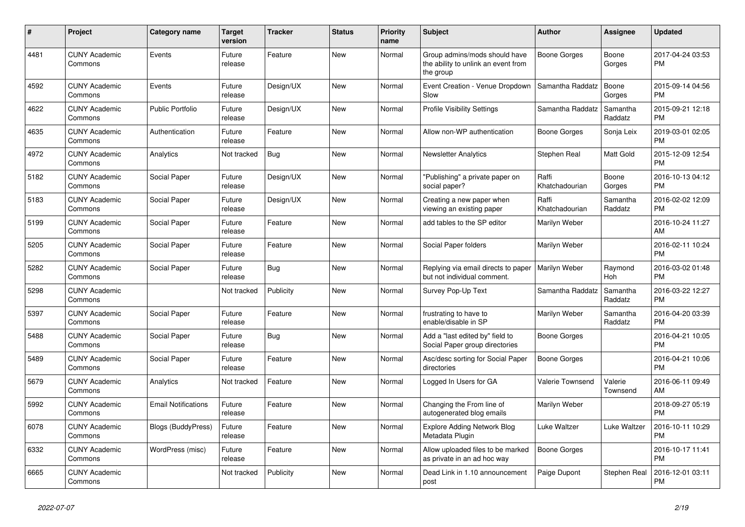| $\pmb{\#}$ | <b>Project</b>                  | <b>Category name</b>       | <b>Target</b><br>version | <b>Tracker</b> | <b>Status</b> | <b>Priority</b><br>name | <b>Subject</b>                                                                    | <b>Author</b>           | Assignee            | <b>Updated</b>                |
|------------|---------------------------------|----------------------------|--------------------------|----------------|---------------|-------------------------|-----------------------------------------------------------------------------------|-------------------------|---------------------|-------------------------------|
| 4481       | <b>CUNY Academic</b><br>Commons | Events                     | Future<br>release        | Feature        | New           | Normal                  | Group admins/mods should have<br>the ability to unlink an event from<br>the group | Boone Gorges            | Boone<br>Gorges     | 2017-04-24 03:53<br><b>PM</b> |
| 4592       | <b>CUNY Academic</b><br>Commons | Events                     | Future<br>release        | Design/UX      | <b>New</b>    | Normal                  | Event Creation - Venue Dropdown<br>Slow                                           | Samantha Raddatz        | Boone<br>Gorges     | 2015-09-14 04:56<br><b>PM</b> |
| 4622       | <b>CUNY Academic</b><br>Commons | <b>Public Portfolio</b>    | Future<br>release        | Design/UX      | <b>New</b>    | Normal                  | <b>Profile Visibility Settings</b>                                                | Samantha Raddatz        | Samantha<br>Raddatz | 2015-09-21 12:18<br><b>PM</b> |
| 4635       | <b>CUNY Academic</b><br>Commons | Authentication             | Future<br>release        | Feature        | New           | Normal                  | Allow non-WP authentication                                                       | Boone Gorges            | Sonja Leix          | 2019-03-01 02:05<br><b>PM</b> |
| 4972       | <b>CUNY Academic</b><br>Commons | Analytics                  | Not tracked              | <b>Bug</b>     | <b>New</b>    | Normal                  | <b>Newsletter Analytics</b>                                                       | Stephen Real            | Matt Gold           | 2015-12-09 12:54<br><b>PM</b> |
| 5182       | <b>CUNY Academic</b><br>Commons | Social Paper               | Future<br>release        | Design/UX      | <b>New</b>    | Normal                  | "Publishing" a private paper on<br>social paper?                                  | Raffi<br>Khatchadourian | Boone<br>Gorges     | 2016-10-13 04:12<br>PM        |
| 5183       | <b>CUNY Academic</b><br>Commons | Social Paper               | Future<br>release        | Design/UX      | New           | Normal                  | Creating a new paper when<br>viewing an existing paper                            | Raffi<br>Khatchadourian | Samantha<br>Raddatz | 2016-02-02 12:09<br><b>PM</b> |
| 5199       | <b>CUNY Academic</b><br>Commons | Social Paper               | Future<br>release        | Feature        | <b>New</b>    | Normal                  | add tables to the SP editor                                                       | Marilyn Weber           |                     | 2016-10-24 11:27<br>AM        |
| 5205       | <b>CUNY Academic</b><br>Commons | Social Paper               | Future<br>release        | Feature        | <b>New</b>    | Normal                  | Social Paper folders                                                              | Marilyn Weber           |                     | 2016-02-11 10:24<br><b>PM</b> |
| 5282       | <b>CUNY Academic</b><br>Commons | Social Paper               | Future<br>release        | <b>Bug</b>     | New           | Normal                  | Replying via email directs to paper<br>but not individual comment.                | Marilyn Weber           | Raymond<br>Hoh      | 2016-03-02 01:48<br><b>PM</b> |
| 5298       | <b>CUNY Academic</b><br>Commons |                            | Not tracked              | Publicity      | New           | Normal                  | Survey Pop-Up Text                                                                | Samantha Raddatz        | Samantha<br>Raddatz | 2016-03-22 12:27<br><b>PM</b> |
| 5397       | <b>CUNY Academic</b><br>Commons | Social Paper               | Future<br>release        | Feature        | <b>New</b>    | Normal                  | frustrating to have to<br>enable/disable in SP                                    | Marilyn Weber           | Samantha<br>Raddatz | 2016-04-20 03:39<br><b>PM</b> |
| 5488       | <b>CUNY Academic</b><br>Commons | Social Paper               | Future<br>release        | <b>Bug</b>     | <b>New</b>    | Normal                  | Add a "last edited by" field to<br>Social Paper group directories                 | Boone Gorges            |                     | 2016-04-21 10:05<br><b>PM</b> |
| 5489       | <b>CUNY Academic</b><br>Commons | Social Paper               | Future<br>release        | Feature        | New           | Normal                  | Asc/desc sorting for Social Paper<br>directories                                  | Boone Gorges            |                     | 2016-04-21 10:06<br><b>PM</b> |
| 5679       | <b>CUNY Academic</b><br>Commons | Analytics                  | Not tracked              | Feature        | <b>New</b>    | Normal                  | Logged In Users for GA                                                            | <b>Valerie Townsend</b> | Valerie<br>Townsend | 2016-06-11 09:49<br>AM        |
| 5992       | <b>CUNY Academic</b><br>Commons | <b>Email Notifications</b> | Future<br>release        | Feature        | <b>New</b>    | Normal                  | Changing the From line of<br>autogenerated blog emails                            | Marilyn Weber           |                     | 2018-09-27 05:19<br><b>PM</b> |
| 6078       | <b>CUNY Academic</b><br>Commons | <b>Blogs (BuddyPress)</b>  | Future<br>release        | Feature        | New           | Normal                  | <b>Explore Adding Network Blog</b><br>Metadata Plugin                             | Luke Waltzer            | Luke Waltzer        | 2016-10-11 10:29<br><b>PM</b> |
| 6332       | <b>CUNY Academic</b><br>Commons | WordPress (misc)           | Future<br>release        | Feature        | <b>New</b>    | Normal                  | Allow uploaded files to be marked<br>as private in an ad hoc way                  | <b>Boone Gorges</b>     |                     | 2016-10-17 11:41<br><b>PM</b> |
| 6665       | <b>CUNY Academic</b><br>Commons |                            | Not tracked              | Publicity      | <b>New</b>    | Normal                  | Dead Link in 1.10 announcement<br>post                                            | Paige Dupont            | Stephen Real        | 2016-12-01 03:11<br>PM        |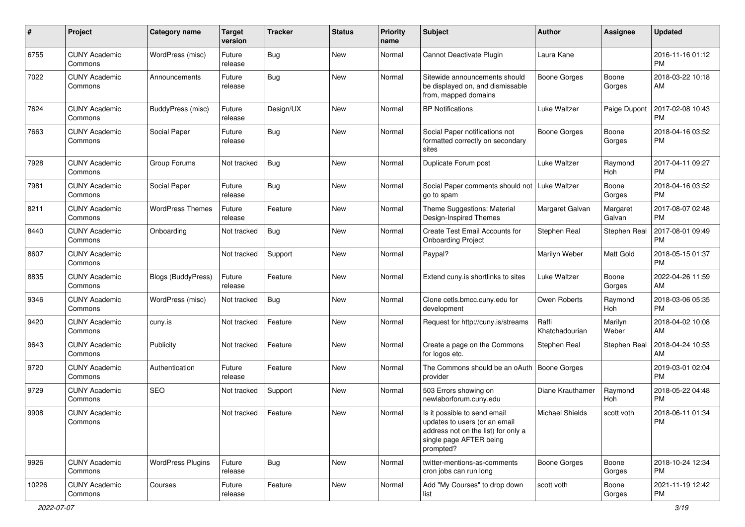| #     | Project                         | <b>Category name</b>     | <b>Target</b><br>version | <b>Tracker</b> | <b>Status</b> | <b>Priority</b><br>name | Subject                                                                                                                                      | Author                  | <b>Assignee</b>    | <b>Updated</b>                |
|-------|---------------------------------|--------------------------|--------------------------|----------------|---------------|-------------------------|----------------------------------------------------------------------------------------------------------------------------------------------|-------------------------|--------------------|-------------------------------|
| 6755  | <b>CUNY Academic</b><br>Commons | WordPress (misc)         | Future<br>release        | <b>Bug</b>     | <b>New</b>    | Normal                  | Cannot Deactivate Plugin                                                                                                                     | Laura Kane              |                    | 2016-11-16 01:12<br><b>PM</b> |
| 7022  | <b>CUNY Academic</b><br>Commons | Announcements            | Future<br>release        | Bug            | New           | Normal                  | Sitewide announcements should<br>be displayed on, and dismissable<br>from, mapped domains                                                    | <b>Boone Gorges</b>     | Boone<br>Gorges    | 2018-03-22 10:18<br>AM        |
| 7624  | <b>CUNY Academic</b><br>Commons | BuddyPress (misc)        | Future<br>release        | Design/UX      | New           | Normal                  | <b>BP Notifications</b>                                                                                                                      | Luke Waltzer            | Paige Dupont       | 2017-02-08 10:43<br><b>PM</b> |
| 7663  | <b>CUNY Academic</b><br>Commons | Social Paper             | Future<br>release        | Bug            | <b>New</b>    | Normal                  | Social Paper notifications not<br>formatted correctly on secondary<br>sites                                                                  | <b>Boone Gorges</b>     | Boone<br>Gorges    | 2018-04-16 03:52<br>PM        |
| 7928  | <b>CUNY Academic</b><br>Commons | Group Forums             | Not tracked              | <b>Bug</b>     | <b>New</b>    | Normal                  | Duplicate Forum post                                                                                                                         | Luke Waltzer            | Raymond<br>Hoh     | 2017-04-11 09:27<br><b>PM</b> |
| 7981  | <b>CUNY Academic</b><br>Commons | Social Paper             | Future<br>release        | Bug            | <b>New</b>    | Normal                  | Social Paper comments should not<br>go to spam                                                                                               | Luke Waltzer            | Boone<br>Gorges    | 2018-04-16 03:52<br><b>PM</b> |
| 8211  | <b>CUNY Academic</b><br>Commons | <b>WordPress Themes</b>  | Future<br>release        | Feature        | <b>New</b>    | Normal                  | Theme Suggestions: Material<br>Design-Inspired Themes                                                                                        | Margaret Galvan         | Margaret<br>Galvan | 2017-08-07 02:48<br><b>PM</b> |
| 8440  | <b>CUNY Academic</b><br>Commons | Onboarding               | Not tracked              | Bug            | New           | Normal                  | Create Test Email Accounts for<br><b>Onboarding Project</b>                                                                                  | Stephen Real            | Stephen Real       | 2017-08-01 09:49<br><b>PM</b> |
| 8607  | <b>CUNY Academic</b><br>Commons |                          | Not tracked              | Support        | <b>New</b>    | Normal                  | Paypal?                                                                                                                                      | Marilyn Weber           | Matt Gold          | 2018-05-15 01:37<br><b>PM</b> |
| 8835  | <b>CUNY Academic</b><br>Commons | Blogs (BuddyPress)       | Future<br>release        | Feature        | <b>New</b>    | Normal                  | Extend cuny is shortlinks to sites                                                                                                           | <b>Luke Waltzer</b>     | Boone<br>Gorges    | 2022-04-26 11:59<br>AM        |
| 9346  | <b>CUNY Academic</b><br>Commons | WordPress (misc)         | Not tracked              | Bug            | New           | Normal                  | Clone cetls.bmcc.cuny.edu for<br>development                                                                                                 | Owen Roberts            | Raymond<br>Hoh     | 2018-03-06 05:35<br><b>PM</b> |
| 9420  | <b>CUNY Academic</b><br>Commons | cuny.is                  | Not tracked              | Feature        | New           | Normal                  | Request for http://cuny.is/streams                                                                                                           | Raffi<br>Khatchadourian | Marilyn<br>Weber   | 2018-04-02 10:08<br>AM        |
| 9643  | <b>CUNY Academic</b><br>Commons | Publicity                | Not tracked              | Feature        | <b>New</b>    | Normal                  | Create a page on the Commons<br>for logos etc.                                                                                               | Stephen Real            | Stephen Real       | 2018-04-24 10:53<br>AM        |
| 9720  | <b>CUNY Academic</b><br>Commons | Authentication           | Future<br>release        | Feature        | <b>New</b>    | Normal                  | The Commons should be an oAuth   Boone Gorges<br>provider                                                                                    |                         |                    | 2019-03-01 02:04<br><b>PM</b> |
| 9729  | <b>CUNY Academic</b><br>Commons | <b>SEO</b>               | Not tracked              | Support        | New           | Normal                  | 503 Errors showing on<br>newlaborforum.cuny.edu                                                                                              | Diane Krauthamer        | Raymond<br>Hoh     | 2018-05-22 04:48<br><b>PM</b> |
| 9908  | <b>CUNY Academic</b><br>Commons |                          | Not tracked              | Feature        | New           | Normal                  | Is it possible to send email<br>updates to users (or an email<br>address not on the list) for only a<br>single page AFTER being<br>prompted? | <b>Michael Shields</b>  | scott voth         | 2018-06-11 01:34<br>PM        |
| 9926  | <b>CUNY Academic</b><br>Commons | <b>WordPress Plugins</b> | Future<br>release        | Bug            | New           | Normal                  | twitter-mentions-as-comments<br>cron jobs can run long                                                                                       | Boone Gorges            | Boone<br>Gorges    | 2018-10-24 12:34<br><b>PM</b> |
| 10226 | <b>CUNY Academic</b><br>Commons | Courses                  | Future<br>release        | Feature        | New           | Normal                  | Add "My Courses" to drop down<br>list                                                                                                        | scott voth              | Boone<br>Gorges    | 2021-11-19 12:42<br>PM        |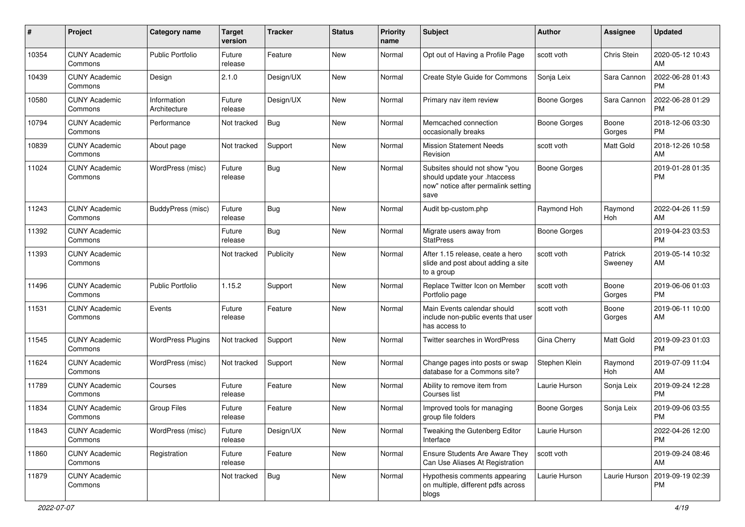| #     | Project                         | <b>Category name</b>        | <b>Target</b><br>version | <b>Tracker</b> | <b>Status</b> | Priority<br>name | <b>Subject</b>                                                                                               | Author              | <b>Assignee</b>    | <b>Updated</b>                |
|-------|---------------------------------|-----------------------------|--------------------------|----------------|---------------|------------------|--------------------------------------------------------------------------------------------------------------|---------------------|--------------------|-------------------------------|
| 10354 | <b>CUNY Academic</b><br>Commons | Public Portfolio            | Future<br>release        | Feature        | <b>New</b>    | Normal           | Opt out of Having a Profile Page                                                                             | scott voth          | Chris Stein        | 2020-05-12 10:43<br>AM        |
| 10439 | <b>CUNY Academic</b><br>Commons | Design                      | 2.1.0                    | Design/UX      | New           | Normal           | <b>Create Style Guide for Commons</b>                                                                        | Sonja Leix          | Sara Cannon        | 2022-06-28 01:43<br>PM        |
| 10580 | <b>CUNY Academic</b><br>Commons | Information<br>Architecture | Future<br>release        | Design/UX      | <b>New</b>    | Normal           | Primary nav item review                                                                                      | <b>Boone Gorges</b> | Sara Cannon        | 2022-06-28 01:29<br><b>PM</b> |
| 10794 | <b>CUNY Academic</b><br>Commons | Performance                 | Not tracked              | Bug            | <b>New</b>    | Normal           | Memcached connection<br>occasionally breaks                                                                  | Boone Gorges        | Boone<br>Gorges    | 2018-12-06 03:30<br><b>PM</b> |
| 10839 | <b>CUNY Academic</b><br>Commons | About page                  | Not tracked              | Support        | <b>New</b>    | Normal           | <b>Mission Statement Needs</b><br>Revision                                                                   | scott voth          | Matt Gold          | 2018-12-26 10:58<br>AM        |
| 11024 | <b>CUNY Academic</b><br>Commons | WordPress (misc)            | Future<br>release        | Bug            | New           | Normal           | Subsites should not show "you<br>should update your .htaccess<br>now" notice after permalink setting<br>save | <b>Boone Gorges</b> |                    | 2019-01-28 01:35<br><b>PM</b> |
| 11243 | <b>CUNY Academic</b><br>Commons | BuddyPress (misc)           | Future<br>release        | <b>Bug</b>     | <b>New</b>    | Normal           | Audit bp-custom.php                                                                                          | Raymond Hoh         | Raymond<br>Hoh     | 2022-04-26 11:59<br>AM        |
| 11392 | <b>CUNY Academic</b><br>Commons |                             | Future<br>release        | Bug            | New           | Normal           | Migrate users away from<br><b>StatPress</b>                                                                  | <b>Boone Gorges</b> |                    | 2019-04-23 03:53<br><b>PM</b> |
| 11393 | <b>CUNY Academic</b><br>Commons |                             | Not tracked              | Publicity      | New           | Normal           | After 1.15 release, ceate a hero<br>slide and post about adding a site<br>to a group                         | scott voth          | Patrick<br>Sweeney | 2019-05-14 10:32<br>AM        |
| 11496 | <b>CUNY Academic</b><br>Commons | <b>Public Portfolio</b>     | 1.15.2                   | Support        | <b>New</b>    | Normal           | Replace Twitter Icon on Member<br>Portfolio page                                                             | scott voth          | Boone<br>Gorges    | 2019-06-06 01:03<br><b>PM</b> |
| 11531 | <b>CUNY Academic</b><br>Commons | Events                      | Future<br>release        | Feature        | <b>New</b>    | Normal           | Main Events calendar should<br>include non-public events that user<br>has access to                          | scott voth          | Boone<br>Gorges    | 2019-06-11 10:00<br>AM        |
| 11545 | <b>CUNY Academic</b><br>Commons | <b>WordPress Plugins</b>    | Not tracked              | Support        | <b>New</b>    | Normal           | Twitter searches in WordPress                                                                                | Gina Cherry         | Matt Gold          | 2019-09-23 01:03<br><b>PM</b> |
| 11624 | <b>CUNY Academic</b><br>Commons | WordPress (misc)            | Not tracked              | Support        | <b>New</b>    | Normal           | Change pages into posts or swap<br>database for a Commons site?                                              | Stephen Klein       | Raymond<br>Hoh     | 2019-07-09 11:04<br>AM        |
| 11789 | <b>CUNY Academic</b><br>Commons | Courses                     | Future<br>release        | Feature        | New           | Normal           | Ability to remove item from<br>Courses list                                                                  | Laurie Hurson       | Sonja Leix         | 2019-09-24 12:28<br><b>PM</b> |
| 11834 | <b>CUNY Academic</b><br>Commons | <b>Group Files</b>          | Future<br>release        | Feature        | <b>New</b>    | Normal           | Improved tools for managing<br>group file folders                                                            | Boone Gorges        | Sonja Leix         | 2019-09-06 03:55<br><b>PM</b> |
| 11843 | <b>CUNY Academic</b><br>Commons | WordPress (misc)            | Future<br>release        | Design/UX      | New           | Normal           | Tweaking the Gutenberg Editor<br>Interface                                                                   | Laurie Hurson       |                    | 2022-04-26 12:00<br><b>PM</b> |
| 11860 | <b>CUNY Academic</b><br>Commons | Registration                | Future<br>release        | Feature        | <b>New</b>    | Normal           | <b>Ensure Students Are Aware They</b><br>Can Use Aliases At Registration                                     | scott voth          |                    | 2019-09-24 08:46<br>AM        |
| 11879 | <b>CUNY Academic</b><br>Commons |                             | Not tracked              | Bug            | <b>New</b>    | Normal           | Hypothesis comments appearing<br>on multiple, different pdfs across<br>blogs                                 | Laurie Hurson       | Laurie Hurson      | 2019-09-19 02:39<br>PM        |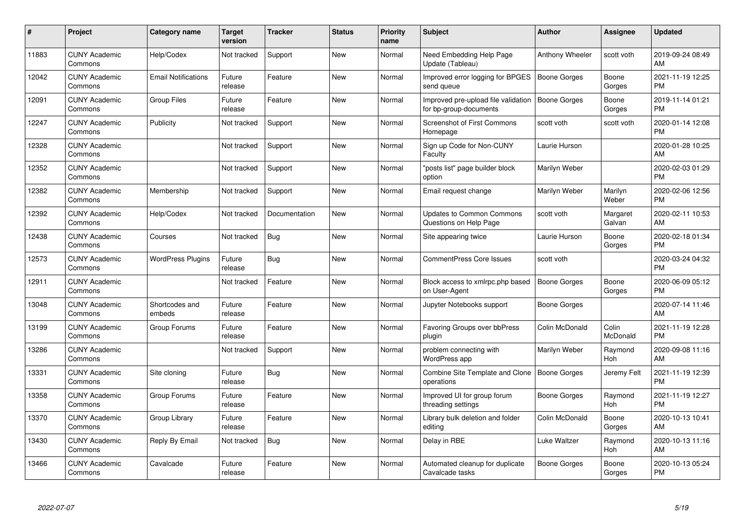| #     | <b>Project</b>                  | Category name              | Target<br>version | <b>Tracker</b> | <b>Status</b> | <b>Priority</b><br>name | <b>Subject</b>                                                | <b>Author</b>       | Assignee           | <b>Updated</b>                |
|-------|---------------------------------|----------------------------|-------------------|----------------|---------------|-------------------------|---------------------------------------------------------------|---------------------|--------------------|-------------------------------|
| 11883 | <b>CUNY Academic</b><br>Commons | Help/Codex                 | Not tracked       | Support        | <b>New</b>    | Normal                  | Need Embedding Help Page<br>Update (Tableau)                  | Anthony Wheeler     | scott voth         | 2019-09-24 08:49<br>AM        |
| 12042 | <b>CUNY Academic</b><br>Commons | <b>Email Notifications</b> | Future<br>release | Feature        | <b>New</b>    | Normal                  | Improved error logging for BPGES<br>send queue                | <b>Boone Gorges</b> | Boone<br>Gorges    | 2021-11-19 12:25<br><b>PM</b> |
| 12091 | <b>CUNY Academic</b><br>Commons | <b>Group Files</b>         | Future<br>release | Feature        | <b>New</b>    | Normal                  | Improved pre-upload file validation<br>for bp-group-documents | Boone Gorges        | Boone<br>Gorges    | 2019-11-14 01:21<br><b>PM</b> |
| 12247 | <b>CUNY Academic</b><br>Commons | Publicity                  | Not tracked       | Support        | New           | Normal                  | <b>Screenshot of First Commons</b><br>Homepage                | scott voth          | scott voth         | 2020-01-14 12:08<br><b>PM</b> |
| 12328 | <b>CUNY Academic</b><br>Commons |                            | Not tracked       | Support        | <b>New</b>    | Normal                  | Sign up Code for Non-CUNY<br>Faculty                          | Laurie Hurson       |                    | 2020-01-28 10:25<br>AM        |
| 12352 | <b>CUNY Academic</b><br>Commons |                            | Not tracked       | Support        | <b>New</b>    | Normal                  | "posts list" page builder block<br>option                     | Marilyn Weber       |                    | 2020-02-03 01:29<br><b>PM</b> |
| 12382 | <b>CUNY Academic</b><br>Commons | Membership                 | Not tracked       | Support        | New           | Normal                  | Email request change                                          | Marilyn Weber       | Marilyn<br>Weber   | 2020-02-06 12:56<br><b>PM</b> |
| 12392 | <b>CUNY Academic</b><br>Commons | Help/Codex                 | Not tracked       | Documentation  | <b>New</b>    | Normal                  | <b>Updates to Common Commons</b><br>Questions on Help Page    | scott voth          | Margaret<br>Galvan | 2020-02-11 10:53<br>AM        |
| 12438 | <b>CUNY Academic</b><br>Commons | Courses                    | Not tracked       | Bug            | <b>New</b>    | Normal                  | Site appearing twice                                          | Laurie Hurson       | Boone<br>Gorges    | 2020-02-18 01:34<br><b>PM</b> |
| 12573 | <b>CUNY Academic</b><br>Commons | <b>WordPress Plugins</b>   | Future<br>release | Bug            | <b>New</b>    | Normal                  | <b>CommentPress Core Issues</b>                               | scott voth          |                    | 2020-03-24 04:32<br><b>PM</b> |
| 12911 | <b>CUNY Academic</b><br>Commons |                            | Not tracked       | Feature        | New           | Normal                  | Block access to xmlrpc.php based<br>on User-Agent             | <b>Boone Gorges</b> | Boone<br>Gorges    | 2020-06-09 05:12<br><b>PM</b> |
| 13048 | <b>CUNY Academic</b><br>Commons | Shortcodes and<br>embeds   | Future<br>release | Feature        | <b>New</b>    | Normal                  | Jupyter Notebooks support                                     | Boone Gorges        |                    | 2020-07-14 11:46<br>AM        |
| 13199 | <b>CUNY Academic</b><br>Commons | Group Forums               | Future<br>release | Feature        | New           | Normal                  | Favoring Groups over bbPress<br>plugin                        | Colin McDonald      | Colin<br>McDonald  | 2021-11-19 12:28<br><b>PM</b> |
| 13286 | <b>CUNY Academic</b><br>Commons |                            | Not tracked       | Support        | New           | Normal                  | problem connecting with<br>WordPress app                      | Marilyn Weber       | Raymond<br>Hoh     | 2020-09-08 11:16<br>AM        |
| 13331 | <b>CUNY Academic</b><br>Commons | Site cloning               | Future<br>release | Bug            | <b>New</b>    | Normal                  | Combine Site Template and Clone<br>operations                 | Boone Gorges        | Jeremy Felt        | 2021-11-19 12:39<br><b>PM</b> |
| 13358 | <b>CUNY Academic</b><br>Commons | Group Forums               | Future<br>release | Feature        | <b>New</b>    | Normal                  | Improved UI for group forum<br>threading settings             | Boone Gorges        | Raymond<br>Hoh     | 2021-11-19 12:27<br><b>PM</b> |
| 13370 | <b>CUNY Academic</b><br>Commons | Group Library              | Future<br>release | Feature        | New           | Normal                  | Library bulk deletion and folder<br>editing                   | Colin McDonald      | Boone<br>Gorges    | 2020-10-13 10:41<br>AM        |
| 13430 | <b>CUNY Academic</b><br>Commons | Reply By Email             | Not tracked       | Bug            | <b>New</b>    | Normal                  | Delay in RBE                                                  | Luke Waltzer        | Raymond<br>Hoh     | 2020-10-13 11:16<br>AM        |
| 13466 | <b>CUNY Academic</b><br>Commons | Cavalcade                  | Future<br>release | Feature        | <b>New</b>    | Normal                  | Automated cleanup for duplicate<br>Cavalcade tasks            | Boone Gorges        | Boone<br>Gorges    | 2020-10-13 05:24<br><b>PM</b> |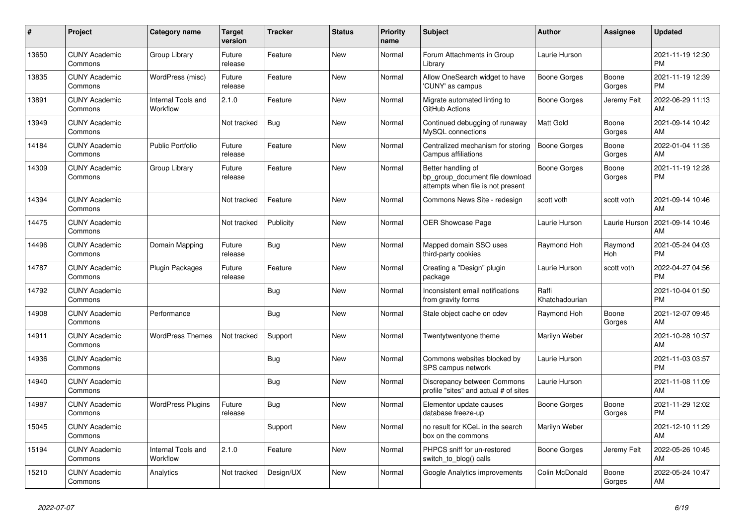| #     | <b>Project</b>                  | <b>Category name</b>           | <b>Target</b><br>version | <b>Tracker</b> | <b>Status</b> | <b>Priority</b><br>name | <b>Subject</b>                                                                             | <b>Author</b>           | Assignee        | <b>Updated</b>                |
|-------|---------------------------------|--------------------------------|--------------------------|----------------|---------------|-------------------------|--------------------------------------------------------------------------------------------|-------------------------|-----------------|-------------------------------|
| 13650 | <b>CUNY Academic</b><br>Commons | Group Library                  | Future<br>release        | Feature        | New           | Normal                  | Forum Attachments in Group<br>Library                                                      | Laurie Hurson           |                 | 2021-11-19 12:30<br><b>PM</b> |
| 13835 | <b>CUNY Academic</b><br>Commons | WordPress (misc)               | Future<br>release        | Feature        | <b>New</b>    | Normal                  | Allow OneSearch widget to have<br>'CUNY' as campus                                         | <b>Boone Gorges</b>     | Boone<br>Gorges | 2021-11-19 12:39<br><b>PM</b> |
| 13891 | <b>CUNY Academic</b><br>Commons | Internal Tools and<br>Workflow | 2.1.0                    | Feature        | <b>New</b>    | Normal                  | Migrate automated linting to<br>GitHub Actions                                             | Boone Gorges            | Jeremy Felt     | 2022-06-29 11:13<br>AM        |
| 13949 | <b>CUNY Academic</b><br>Commons |                                | Not tracked              | <b>Bug</b>     | <b>New</b>    | Normal                  | Continued debugging of runaway<br>MySQL connections                                        | <b>Matt Gold</b>        | Boone<br>Gorges | 2021-09-14 10:42<br>AM        |
| 14184 | <b>CUNY Academic</b><br>Commons | <b>Public Portfolio</b>        | Future<br>release        | Feature        | New           | Normal                  | Centralized mechanism for storing<br>Campus affiliations                                   | <b>Boone Gorges</b>     | Boone<br>Gorges | 2022-01-04 11:35<br>AM        |
| 14309 | <b>CUNY Academic</b><br>Commons | Group Library                  | Future<br>release        | Feature        | New           | Normal                  | Better handling of<br>bp_group_document file download<br>attempts when file is not present | <b>Boone Gorges</b>     | Boone<br>Gorges | 2021-11-19 12:28<br><b>PM</b> |
| 14394 | <b>CUNY Academic</b><br>Commons |                                | Not tracked              | Feature        | <b>New</b>    | Normal                  | Commons News Site - redesign                                                               | scott voth              | scott voth      | 2021-09-14 10:46<br>AM        |
| 14475 | <b>CUNY Academic</b><br>Commons |                                | Not tracked              | Publicity      | New           | Normal                  | <b>OER Showcase Page</b>                                                                   | Laurie Hurson           | Laurie Hurson   | 2021-09-14 10:46<br>AM        |
| 14496 | <b>CUNY Academic</b><br>Commons | Domain Mapping                 | Future<br>release        | Bug            | New           | Normal                  | Mapped domain SSO uses<br>third-party cookies                                              | Raymond Hoh             | Raymond<br>Hoh  | 2021-05-24 04:03<br><b>PM</b> |
| 14787 | <b>CUNY Academic</b><br>Commons | Plugin Packages                | Future<br>release        | Feature        | <b>New</b>    | Normal                  | Creating a "Design" plugin<br>package                                                      | Laurie Hurson           | scott voth      | 2022-04-27 04:56<br><b>PM</b> |
| 14792 | <b>CUNY Academic</b><br>Commons |                                |                          | Bug            | New           | Normal                  | Inconsistent email notifications<br>from gravity forms                                     | Raffi<br>Khatchadourian |                 | 2021-10-04 01:50<br><b>PM</b> |
| 14908 | <b>CUNY Academic</b><br>Commons | Performance                    |                          | Bug            | New           | Normal                  | Stale object cache on cdev                                                                 | Raymond Hoh             | Boone<br>Gorges | 2021-12-07 09:45<br>AM        |
| 14911 | <b>CUNY Academic</b><br>Commons | <b>WordPress Themes</b>        | Not tracked              | Support        | <b>New</b>    | Normal                  | Twentytwentyone theme                                                                      | Marilyn Weber           |                 | 2021-10-28 10:37<br>AM        |
| 14936 | <b>CUNY Academic</b><br>Commons |                                |                          | Bug            | <b>New</b>    | Normal                  | Commons websites blocked by<br>SPS campus network                                          | Laurie Hurson           |                 | 2021-11-03 03:57<br><b>PM</b> |
| 14940 | <b>CUNY Academic</b><br>Commons |                                |                          | Bug            | New           | Normal                  | Discrepancy between Commons<br>profile "sites" and actual # of sites                       | Laurie Hurson           |                 | 2021-11-08 11:09<br>AM        |
| 14987 | <b>CUNY Academic</b><br>Commons | <b>WordPress Plugins</b>       | Future<br>release        | Bug            | New           | Normal                  | Elementor update causes<br>database freeze-up                                              | Boone Gorges            | Boone<br>Gorges | 2021-11-29 12:02<br><b>PM</b> |
| 15045 | <b>CUNY Academic</b><br>Commons |                                |                          | Support        | <b>New</b>    | Normal                  | no result for KCeL in the search<br>box on the commons                                     | Marilyn Weber           |                 | 2021-12-10 11:29<br>AM        |
| 15194 | <b>CUNY Academic</b><br>Commons | Internal Tools and<br>Workflow | 2.1.0                    | Feature        | New           | Normal                  | PHPCS sniff for un-restored<br>switch_to_blog() calls                                      | Boone Gorges            | Jeremy Felt     | 2022-05-26 10:45<br>AM        |
| 15210 | <b>CUNY Academic</b><br>Commons | Analytics                      | Not tracked              | Design/UX      | <b>New</b>    | Normal                  | Google Analytics improvements                                                              | Colin McDonald          | Boone<br>Gorges | 2022-05-24 10:47<br>AM        |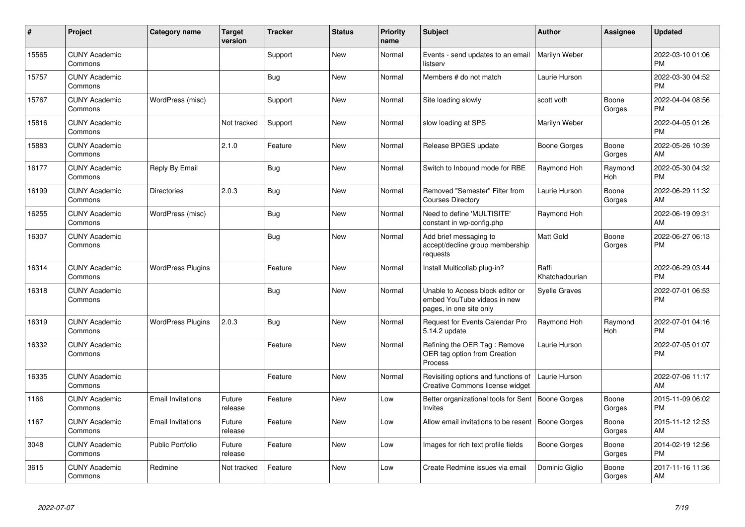| #     | Project                         | <b>Category name</b>     | <b>Target</b><br>version | <b>Tracker</b> | <b>Status</b> | <b>Priority</b><br>name | <b>Subject</b>                                                                             | <b>Author</b>           | Assignee        | <b>Updated</b>                |
|-------|---------------------------------|--------------------------|--------------------------|----------------|---------------|-------------------------|--------------------------------------------------------------------------------------------|-------------------------|-----------------|-------------------------------|
| 15565 | <b>CUNY Academic</b><br>Commons |                          |                          | Support        | New           | Normal                  | Events - send updates to an email<br>listserv                                              | Marilyn Weber           |                 | 2022-03-10 01:06<br><b>PM</b> |
| 15757 | <b>CUNY Academic</b><br>Commons |                          |                          | <b>Bug</b>     | New           | Normal                  | Members # do not match                                                                     | Laurie Hurson           |                 | 2022-03-30 04:52<br><b>PM</b> |
| 15767 | <b>CUNY Academic</b><br>Commons | WordPress (misc)         |                          | Support        | New           | Normal                  | Site loading slowly                                                                        | scott voth              | Boone<br>Gorges | 2022-04-04 08:56<br><b>PM</b> |
| 15816 | <b>CUNY Academic</b><br>Commons |                          | Not tracked              | Support        | New           | Normal                  | slow loading at SPS                                                                        | Marilyn Weber           |                 | 2022-04-05 01:26<br><b>PM</b> |
| 15883 | <b>CUNY Academic</b><br>Commons |                          | 2.1.0                    | Feature        | New           | Normal                  | Release BPGES update                                                                       | Boone Gorges            | Boone<br>Gorges | 2022-05-26 10:39<br>AM        |
| 16177 | <b>CUNY Academic</b><br>Commons | Reply By Email           |                          | Bug            | <b>New</b>    | Normal                  | Switch to Inbound mode for RBE                                                             | Raymond Hoh             | Raymond<br>Hoh  | 2022-05-30 04:32<br><b>PM</b> |
| 16199 | <b>CUNY Academic</b><br>Commons | <b>Directories</b>       | 2.0.3                    | <b>Bug</b>     | New           | Normal                  | Removed "Semester" Filter from<br><b>Courses Directory</b>                                 | Laurie Hurson           | Boone<br>Gorges | 2022-06-29 11:32<br>AM        |
| 16255 | <b>CUNY Academic</b><br>Commons | WordPress (misc)         |                          | <b>Bug</b>     | <b>New</b>    | Normal                  | Need to define 'MULTISITE'<br>constant in wp-config.php                                    | Raymond Hoh             |                 | 2022-06-19 09:31<br>AM        |
| 16307 | <b>CUNY Academic</b><br>Commons |                          |                          | Bug            | New           | Normal                  | Add brief messaging to<br>accept/decline group membership<br>requests                      | <b>Matt Gold</b>        | Boone<br>Gorges | 2022-06-27 06:13<br><b>PM</b> |
| 16314 | <b>CUNY Academic</b><br>Commons | <b>WordPress Plugins</b> |                          | Feature        | <b>New</b>    | Normal                  | Install Multicollab plug-in?                                                               | Raffi<br>Khatchadourian |                 | 2022-06-29 03:44<br><b>PM</b> |
| 16318 | <b>CUNY Academic</b><br>Commons |                          |                          | <b>Bug</b>     | <b>New</b>    | Normal                  | Unable to Access block editor or<br>embed YouTube videos in new<br>pages, in one site only | Syelle Graves           |                 | 2022-07-01 06:53<br><b>PM</b> |
| 16319 | <b>CUNY Academic</b><br>Commons | <b>WordPress Plugins</b> | 2.0.3                    | Bug            | <b>New</b>    | Normal                  | Request for Events Calendar Pro<br>5.14.2 update                                           | Raymond Hoh             | Raymond<br>Hoh  | 2022-07-01 04:16<br><b>PM</b> |
| 16332 | <b>CUNY Academic</b><br>Commons |                          |                          | Feature        | <b>New</b>    | Normal                  | Refining the OER Tag: Remove<br>OER tag option from Creation<br>Process                    | Laurie Hurson           |                 | 2022-07-05 01:07<br><b>PM</b> |
| 16335 | <b>CUNY Academic</b><br>Commons |                          |                          | Feature        | <b>New</b>    | Normal                  | Revisiting options and functions of<br>Creative Commons license widget                     | Laurie Hurson           |                 | 2022-07-06 11:17<br>AM        |
| 1166  | <b>CUNY Academic</b><br>Commons | <b>Email Invitations</b> | Future<br>release        | Feature        | <b>New</b>    | Low                     | Better organizational tools for Sent   Boone Gorges<br>Invites                             |                         | Boone<br>Gorges | 2015-11-09 06:02<br><b>PM</b> |
| 1167  | <b>CUNY Academic</b><br>Commons | <b>Email Invitations</b> | Future<br>release        | Feature        | <b>New</b>    | Low                     | Allow email invitations to be resent   Boone Gorges                                        |                         | Boone<br>Gorges | 2015-11-12 12:53<br>AM        |
| 3048  | <b>CUNY Academic</b><br>Commons | <b>Public Portfolio</b>  | Future<br>release        | Feature        | <b>New</b>    | Low                     | Images for rich text profile fields                                                        | Boone Gorges            | Boone<br>Gorges | 2014-02-19 12:56<br><b>PM</b> |
| 3615  | <b>CUNY Academic</b><br>Commons | Redmine                  | Not tracked              | Feature        | <b>New</b>    | Low                     | Create Redmine issues via email                                                            | Dominic Giglio          | Boone<br>Gorges | 2017-11-16 11:36<br>AM        |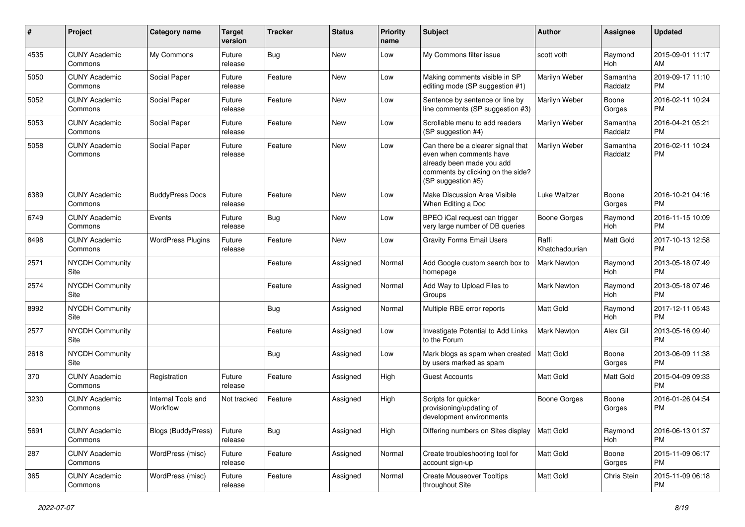| #    | Project                         | <b>Category name</b>           | <b>Target</b><br>version | <b>Tracker</b> | <b>Status</b> | <b>Priority</b><br>name | <b>Subject</b>                                                                                                                                        | Author                  | <b>Assignee</b>     | <b>Updated</b>                |
|------|---------------------------------|--------------------------------|--------------------------|----------------|---------------|-------------------------|-------------------------------------------------------------------------------------------------------------------------------------------------------|-------------------------|---------------------|-------------------------------|
| 4535 | <b>CUNY Academic</b><br>Commons | My Commons                     | Future<br>release        | <b>Bug</b>     | <b>New</b>    | Low                     | My Commons filter issue                                                                                                                               | scott voth              | Raymond<br>Hoh      | 2015-09-01 11:17<br>AM        |
| 5050 | <b>CUNY Academic</b><br>Commons | Social Paper                   | Future<br>release        | Feature        | New           | Low                     | Making comments visible in SP<br>editing mode (SP suggestion #1)                                                                                      | Marilyn Weber           | Samantha<br>Raddatz | 2019-09-17 11:10<br><b>PM</b> |
| 5052 | <b>CUNY Academic</b><br>Commons | Social Paper                   | Future<br>release        | Feature        | <b>New</b>    | Low                     | Sentence by sentence or line by<br>line comments (SP suggestion #3)                                                                                   | Marilyn Weber           | Boone<br>Gorges     | 2016-02-11 10:24<br><b>PM</b> |
| 5053 | <b>CUNY Academic</b><br>Commons | Social Paper                   | Future<br>release        | Feature        | <b>New</b>    | Low                     | Scrollable menu to add readers<br>(SP suggestion #4)                                                                                                  | Marilyn Weber           | Samantha<br>Raddatz | 2016-04-21 05:21<br><b>PM</b> |
| 5058 | <b>CUNY Academic</b><br>Commons | Social Paper                   | Future<br>release        | Feature        | <b>New</b>    | Low                     | Can there be a clearer signal that<br>even when comments have<br>already been made you add<br>comments by clicking on the side?<br>(SP suggestion #5) | Marilyn Weber           | Samantha<br>Raddatz | 2016-02-11 10:24<br><b>PM</b> |
| 6389 | <b>CUNY Academic</b><br>Commons | <b>BuddyPress Docs</b>         | Future<br>release        | Feature        | New           | Low                     | Make Discussion Area Visible<br>When Editing a Doc                                                                                                    | Luke Waltzer            | Boone<br>Gorges     | 2016-10-21 04:16<br><b>PM</b> |
| 6749 | <b>CUNY Academic</b><br>Commons | Events                         | Future<br>release        | Bug            | <b>New</b>    | Low                     | BPEO iCal request can trigger<br>very large number of DB queries                                                                                      | <b>Boone Gorges</b>     | Raymond<br>Hoh      | 2016-11-15 10:09<br><b>PM</b> |
| 8498 | <b>CUNY Academic</b><br>Commons | <b>WordPress Plugins</b>       | Future<br>release        | Feature        | <b>New</b>    | Low                     | <b>Gravity Forms Email Users</b>                                                                                                                      | Raffi<br>Khatchadourian | Matt Gold           | 2017-10-13 12:58<br><b>PM</b> |
| 2571 | <b>NYCDH Community</b><br>Site  |                                |                          | Feature        | Assigned      | Normal                  | Add Google custom search box to<br>homepage                                                                                                           | Mark Newton             | Raymond<br>Hoh      | 2013-05-18 07:49<br><b>PM</b> |
| 2574 | NYCDH Community<br>Site         |                                |                          | Feature        | Assigned      | Normal                  | Add Way to Upload Files to<br>Groups                                                                                                                  | Mark Newton             | Raymond<br>Hoh      | 2013-05-18 07:46<br><b>PM</b> |
| 8992 | NYCDH Community<br>Site         |                                |                          | <b>Bug</b>     | Assigned      | Normal                  | Multiple RBE error reports                                                                                                                            | <b>Matt Gold</b>        | Raymond<br>Hoh      | 2017-12-11 05:43<br><b>PM</b> |
| 2577 | <b>NYCDH Community</b><br>Site  |                                |                          | Feature        | Assigned      | Low                     | Investigate Potential to Add Links<br>to the Forum                                                                                                    | Mark Newton             | Alex Gil            | 2013-05-16 09:40<br><b>PM</b> |
| 2618 | NYCDH Community<br>Site         |                                |                          | Bug            | Assigned      | Low                     | Mark blogs as spam when created<br>by users marked as spam                                                                                            | <b>Matt Gold</b>        | Boone<br>Gorges     | 2013-06-09 11:38<br><b>PM</b> |
| 370  | <b>CUNY Academic</b><br>Commons | Registration                   | Future<br>release        | Feature        | Assigned      | High                    | <b>Guest Accounts</b>                                                                                                                                 | <b>Matt Gold</b>        | Matt Gold           | 2015-04-09 09:33<br><b>PM</b> |
| 3230 | <b>CUNY Academic</b><br>Commons | Internal Tools and<br>Workflow | Not tracked              | Feature        | Assigned      | High                    | Scripts for quicker<br>provisioning/updating of<br>development environments                                                                           | Boone Gorges            | Boone<br>Gorges     | 2016-01-26 04:54<br><b>PM</b> |
| 5691 | <b>CUNY Academic</b><br>Commons | <b>Blogs (BuddyPress)</b>      | Future<br>release        | <b>Bug</b>     | Assigned      | High                    | Differing numbers on Sites display                                                                                                                    | Matt Gold               | Raymond<br>Hoh      | 2016-06-13 01:37<br><b>PM</b> |
| 287  | <b>CUNY Academic</b><br>Commons | WordPress (misc)               | Future<br>release        | Feature        | Assigned      | Normal                  | Create troubleshooting tool for<br>account sign-up                                                                                                    | Matt Gold               | Boone<br>Gorges     | 2015-11-09 06:17<br><b>PM</b> |
| 365  | <b>CUNY Academic</b><br>Commons | WordPress (misc)               | Future<br>release        | Feature        | Assigned      | Normal                  | <b>Create Mouseover Tooltips</b><br>throughout Site                                                                                                   | Matt Gold               | Chris Stein         | 2015-11-09 06:18<br><b>PM</b> |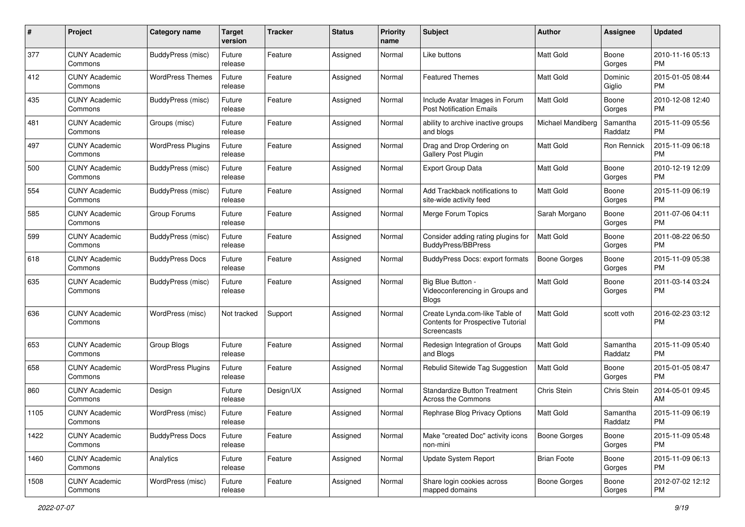| #    | Project                         | <b>Category name</b>     | <b>Target</b><br>version | <b>Tracker</b> | <b>Status</b> | <b>Priority</b><br>name | <b>Subject</b>                                                                            | <b>Author</b>       | <b>Assignee</b>     | <b>Updated</b>                |
|------|---------------------------------|--------------------------|--------------------------|----------------|---------------|-------------------------|-------------------------------------------------------------------------------------------|---------------------|---------------------|-------------------------------|
| 377  | <b>CUNY Academic</b><br>Commons | BuddyPress (misc)        | Future<br>release        | Feature        | Assigned      | Normal                  | Like buttons                                                                              | Matt Gold           | Boone<br>Gorges     | 2010-11-16 05:13<br><b>PM</b> |
| 412  | <b>CUNY Academic</b><br>Commons | <b>WordPress Themes</b>  | Future<br>release        | Feature        | Assigned      | Normal                  | <b>Featured Themes</b>                                                                    | Matt Gold           | Dominic<br>Giglio   | 2015-01-05 08:44<br><b>PM</b> |
| 435  | <b>CUNY Academic</b><br>Commons | BuddyPress (misc)        | Future<br>release        | Feature        | Assigned      | Normal                  | Include Avatar Images in Forum<br><b>Post Notification Emails</b>                         | Matt Gold           | Boone<br>Gorges     | 2010-12-08 12:40<br><b>PM</b> |
| 481  | <b>CUNY Academic</b><br>Commons | Groups (misc)            | Future<br>release        | Feature        | Assigned      | Normal                  | ability to archive inactive groups<br>and blogs                                           | Michael Mandiberg   | Samantha<br>Raddatz | 2015-11-09 05:56<br><b>PM</b> |
| 497  | <b>CUNY Academic</b><br>Commons | <b>WordPress Plugins</b> | Future<br>release        | Feature        | Assigned      | Normal                  | Drag and Drop Ordering on<br>Gallery Post Plugin                                          | Matt Gold           | Ron Rennick         | 2015-11-09 06:18<br><b>PM</b> |
| 500  | <b>CUNY Academic</b><br>Commons | BuddyPress (misc)        | Future<br>release        | Feature        | Assigned      | Normal                  | <b>Export Group Data</b>                                                                  | Matt Gold           | Boone<br>Gorges     | 2010-12-19 12:09<br><b>PM</b> |
| 554  | <b>CUNY Academic</b><br>Commons | BuddyPress (misc)        | Future<br>release        | Feature        | Assigned      | Normal                  | Add Trackback notifications to<br>site-wide activity feed                                 | <b>Matt Gold</b>    | Boone<br>Gorges     | 2015-11-09 06:19<br><b>PM</b> |
| 585  | <b>CUNY Academic</b><br>Commons | Group Forums             | Future<br>release        | Feature        | Assigned      | Normal                  | Merge Forum Topics                                                                        | Sarah Morgano       | Boone<br>Gorges     | 2011-07-06 04:11<br><b>PM</b> |
| 599  | <b>CUNY Academic</b><br>Commons | BuddyPress (misc)        | Future<br>release        | Feature        | Assigned      | Normal                  | Consider adding rating plugins for<br><b>BuddyPress/BBPress</b>                           | Matt Gold           | Boone<br>Gorges     | 2011-08-22 06:50<br><b>PM</b> |
| 618  | <b>CUNY Academic</b><br>Commons | <b>BuddyPress Docs</b>   | Future<br>release        | Feature        | Assigned      | Normal                  | <b>BuddyPress Docs: export formats</b>                                                    | <b>Boone Gorges</b> | Boone<br>Gorges     | 2015-11-09 05:38<br><b>PM</b> |
| 635  | <b>CUNY Academic</b><br>Commons | BuddyPress (misc)        | Future<br>release        | Feature        | Assigned      | Normal                  | Big Blue Button -<br>Videoconferencing in Groups and<br><b>Blogs</b>                      | Matt Gold           | Boone<br>Gorges     | 2011-03-14 03:24<br>PM        |
| 636  | <b>CUNY Academic</b><br>Commons | WordPress (misc)         | Not tracked              | Support        | Assigned      | Normal                  | Create Lynda.com-like Table of<br><b>Contents for Prospective Tutorial</b><br>Screencasts | <b>Matt Gold</b>    | scott voth          | 2016-02-23 03:12<br><b>PM</b> |
| 653  | <b>CUNY Academic</b><br>Commons | Group Blogs              | Future<br>release        | Feature        | Assigned      | Normal                  | Redesign Integration of Groups<br>and Blogs                                               | Matt Gold           | Samantha<br>Raddatz | 2015-11-09 05:40<br><b>PM</b> |
| 658  | <b>CUNY Academic</b><br>Commons | <b>WordPress Plugins</b> | Future<br>release        | Feature        | Assigned      | Normal                  | Rebulid Sitewide Tag Suggestion                                                           | Matt Gold           | Boone<br>Gorges     | 2015-01-05 08:47<br><b>PM</b> |
| 860  | <b>CUNY Academic</b><br>Commons | Design                   | Future<br>release        | Design/UX      | Assigned      | Normal                  | Standardize Button Treatment<br>Across the Commons                                        | Chris Stein         | Chris Stein         | 2014-05-01 09:45<br>AM        |
| 1105 | <b>CUNY Academic</b><br>Commons | WordPress (misc)         | Future<br>release        | Feature        | Assigned      | Normal                  | Rephrase Blog Privacy Options                                                             | Matt Gold           | Samantha<br>Raddatz | 2015-11-09 06:19<br>PM        |
| 1422 | <b>CUNY Academic</b><br>Commons | <b>BuddyPress Docs</b>   | Future<br>release        | Feature        | Assigned      | Normal                  | Make "created Doc" activity icons<br>non-mini                                             | Boone Gorges        | Boone<br>Gorges     | 2015-11-09 05:48<br>PM        |
| 1460 | <b>CUNY Academic</b><br>Commons | Analytics                | Future<br>release        | Feature        | Assigned      | Normal                  | Update System Report                                                                      | <b>Brian Foote</b>  | Boone<br>Gorges     | 2015-11-09 06:13<br>PM        |
| 1508 | <b>CUNY Academic</b><br>Commons | WordPress (misc)         | Future<br>release        | Feature        | Assigned      | Normal                  | Share login cookies across<br>mapped domains                                              | Boone Gorges        | Boone<br>Gorges     | 2012-07-02 12:12<br><b>PM</b> |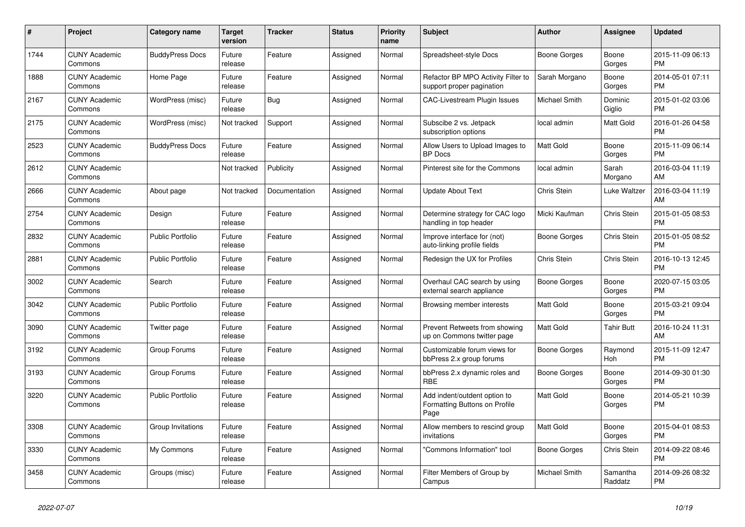| $\pmb{\#}$ | <b>Project</b>                  | <b>Category name</b>    | <b>Target</b><br>version | <b>Tracker</b> | <b>Status</b> | <b>Priority</b><br>name | <b>Subject</b>                                                        | <b>Author</b>       | Assignee            | <b>Updated</b>                |
|------------|---------------------------------|-------------------------|--------------------------|----------------|---------------|-------------------------|-----------------------------------------------------------------------|---------------------|---------------------|-------------------------------|
| 1744       | <b>CUNY Academic</b><br>Commons | <b>BuddyPress Docs</b>  | Future<br>release        | Feature        | Assigned      | Normal                  | Spreadsheet-style Docs                                                | Boone Gorges        | Boone<br>Gorges     | 2015-11-09 06:13<br><b>PM</b> |
| 1888       | <b>CUNY Academic</b><br>Commons | Home Page               | Future<br>release        | Feature        | Assigned      | Normal                  | Refactor BP MPO Activity Filter to<br>support proper pagination       | Sarah Morgano       | Boone<br>Gorges     | 2014-05-01 07:11<br><b>PM</b> |
| 2167       | <b>CUNY Academic</b><br>Commons | WordPress (misc)        | Future<br>release        | Bug            | Assigned      | Normal                  | CAC-Livestream Plugin Issues                                          | Michael Smith       | Dominic<br>Giglio   | 2015-01-02 03:06<br><b>PM</b> |
| 2175       | <b>CUNY Academic</b><br>Commons | WordPress (misc)        | Not tracked              | Support        | Assigned      | Normal                  | Subscibe 2 vs. Jetpack<br>subscription options                        | local admin         | Matt Gold           | 2016-01-26 04:58<br><b>PM</b> |
| 2523       | <b>CUNY Academic</b><br>Commons | <b>BuddyPress Docs</b>  | Future<br>release        | Feature        | Assigned      | Normal                  | Allow Users to Upload Images to<br><b>BP</b> Docs                     | <b>Matt Gold</b>    | Boone<br>Gorges     | 2015-11-09 06:14<br><b>PM</b> |
| 2612       | <b>CUNY Academic</b><br>Commons |                         | Not tracked              | Publicity      | Assigned      | Normal                  | Pinterest site for the Commons                                        | local admin         | Sarah<br>Morgano    | 2016-03-04 11:19<br>AM        |
| 2666       | <b>CUNY Academic</b><br>Commons | About page              | Not tracked              | Documentation  | Assigned      | Normal                  | <b>Update About Text</b>                                              | Chris Stein         | Luke Waltzer        | 2016-03-04 11:19<br>AM        |
| 2754       | <b>CUNY Academic</b><br>Commons | Design                  | Future<br>release        | Feature        | Assigned      | Normal                  | Determine strategy for CAC logo<br>handling in top header             | Micki Kaufman       | Chris Stein         | 2015-01-05 08:53<br><b>PM</b> |
| 2832       | <b>CUNY Academic</b><br>Commons | <b>Public Portfolio</b> | Future<br>release        | Feature        | Assigned      | Normal                  | Improve interface for (not)<br>auto-linking profile fields            | Boone Gorges        | Chris Stein         | 2015-01-05 08:52<br><b>PM</b> |
| 2881       | <b>CUNY Academic</b><br>Commons | <b>Public Portfolio</b> | Future<br>release        | Feature        | Assigned      | Normal                  | Redesign the UX for Profiles                                          | Chris Stein         | Chris Stein         | 2016-10-13 12:45<br><b>PM</b> |
| 3002       | <b>CUNY Academic</b><br>Commons | Search                  | Future<br>release        | Feature        | Assigned      | Normal                  | Overhaul CAC search by using<br>external search appliance             | <b>Boone Gorges</b> | Boone<br>Gorges     | 2020-07-15 03:05<br><b>PM</b> |
| 3042       | <b>CUNY Academic</b><br>Commons | <b>Public Portfolio</b> | Future<br>release        | Feature        | Assigned      | Normal                  | Browsing member interests                                             | <b>Matt Gold</b>    | Boone<br>Gorges     | 2015-03-21 09:04<br><b>PM</b> |
| 3090       | <b>CUNY Academic</b><br>Commons | Twitter page            | Future<br>release        | Feature        | Assigned      | Normal                  | Prevent Retweets from showing<br>up on Commons twitter page           | Matt Gold           | Tahir Butt          | 2016-10-24 11:31<br>AM        |
| 3192       | <b>CUNY Academic</b><br>Commons | Group Forums            | Future<br>release        | Feature        | Assigned      | Normal                  | Customizable forum views for<br>bbPress 2.x group forums              | Boone Gorges        | Raymond<br>Hoh      | 2015-11-09 12:47<br><b>PM</b> |
| 3193       | <b>CUNY Academic</b><br>Commons | Group Forums            | Future<br>release        | Feature        | Assigned      | Normal                  | bbPress 2.x dynamic roles and<br><b>RBE</b>                           | Boone Gorges        | Boone<br>Gorges     | 2014-09-30 01:30<br>PM        |
| 3220       | <b>CUNY Academic</b><br>Commons | <b>Public Portfolio</b> | Future<br>release        | Feature        | Assigned      | Normal                  | Add indent/outdent option to<br>Formatting Buttons on Profile<br>Page | <b>Matt Gold</b>    | Boone<br>Gorges     | 2014-05-21 10:39<br><b>PM</b> |
| 3308       | <b>CUNY Academic</b><br>Commons | Group Invitations       | Future<br>release        | Feature        | Assigned      | Normal                  | Allow members to rescind group<br>invitations                         | Matt Gold           | Boone<br>Gorges     | 2015-04-01 08:53<br><b>PM</b> |
| 3330       | <b>CUNY Academic</b><br>Commons | My Commons              | Future<br>release        | Feature        | Assigned      | Normal                  | "Commons Information" tool                                            | Boone Gorges        | Chris Stein         | 2014-09-22 08:46<br><b>PM</b> |
| 3458       | <b>CUNY Academic</b><br>Commons | Groups (misc)           | Future<br>release        | Feature        | Assigned      | Normal                  | Filter Members of Group by<br>Campus                                  | Michael Smith       | Samantha<br>Raddatz | 2014-09-26 08:32<br><b>PM</b> |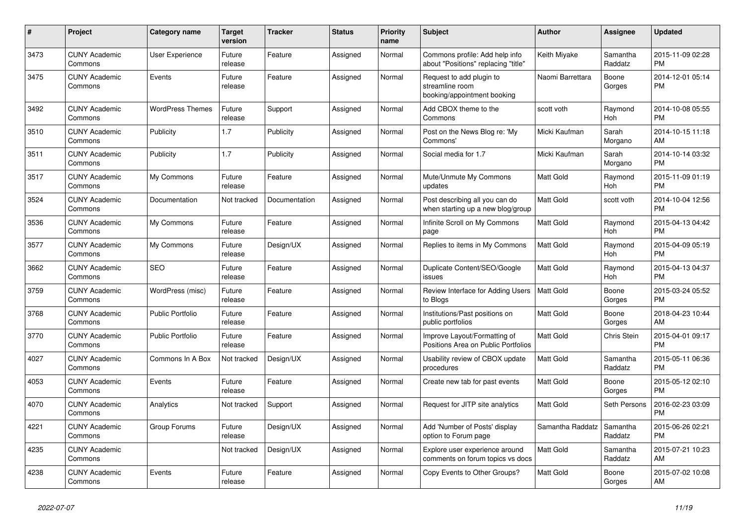| #    | <b>Project</b>                  | Category name           | <b>Target</b><br>version | <b>Tracker</b> | <b>Status</b> | Priority<br>name | <b>Subject</b>                                                             | <b>Author</b>    | Assignee            | <b>Updated</b>                |
|------|---------------------------------|-------------------------|--------------------------|----------------|---------------|------------------|----------------------------------------------------------------------------|------------------|---------------------|-------------------------------|
| 3473 | <b>CUNY Academic</b><br>Commons | User Experience         | Future<br>release        | Feature        | Assigned      | Normal           | Commons profile: Add help info<br>about "Positions" replacing "title"      | Keith Miyake     | Samantha<br>Raddatz | 2015-11-09 02:28<br><b>PM</b> |
| 3475 | <b>CUNY Academic</b><br>Commons | Events                  | Future<br>release        | Feature        | Assigned      | Normal           | Request to add plugin to<br>streamline room<br>booking/appointment booking | Naomi Barrettara | Boone<br>Gorges     | 2014-12-01 05:14<br><b>PM</b> |
| 3492 | <b>CUNY Academic</b><br>Commons | <b>WordPress Themes</b> | Future<br>release        | Support        | Assigned      | Normal           | Add CBOX theme to the<br>Commons                                           | scott voth       | Raymond<br>Hoh      | 2014-10-08 05:55<br><b>PM</b> |
| 3510 | <b>CUNY Academic</b><br>Commons | Publicity               | 1.7                      | Publicity      | Assigned      | Normal           | Post on the News Blog re: 'My<br>Commons'                                  | Micki Kaufman    | Sarah<br>Morgano    | 2014-10-15 11:18<br>AM        |
| 3511 | <b>CUNY Academic</b><br>Commons | Publicity               | 1.7                      | Publicity      | Assigned      | Normal           | Social media for 1.7                                                       | Micki Kaufman    | Sarah<br>Morgano    | 2014-10-14 03:32<br><b>PM</b> |
| 3517 | <b>CUNY Academic</b><br>Commons | My Commons              | Future<br>release        | Feature        | Assigned      | Normal           | Mute/Unmute My Commons<br>updates                                          | Matt Gold        | Raymond<br>Hoh      | 2015-11-09 01:19<br><b>PM</b> |
| 3524 | <b>CUNY Academic</b><br>Commons | Documentation           | Not tracked              | Documentation  | Assigned      | Normal           | Post describing all you can do<br>when starting up a new blog/group        | Matt Gold        | scott voth          | 2014-10-04 12:56<br><b>PM</b> |
| 3536 | <b>CUNY Academic</b><br>Commons | My Commons              | Future<br>release        | Feature        | Assigned      | Normal           | Infinite Scroll on My Commons<br>page                                      | <b>Matt Gold</b> | Raymond<br>Hoh      | 2015-04-13 04:42<br><b>PM</b> |
| 3577 | <b>CUNY Academic</b><br>Commons | My Commons              | Future<br>release        | Design/UX      | Assigned      | Normal           | Replies to items in My Commons                                             | <b>Matt Gold</b> | Raymond<br>Hoh      | 2015-04-09 05:19<br><b>PM</b> |
| 3662 | <b>CUNY Academic</b><br>Commons | <b>SEO</b>              | Future<br>release        | Feature        | Assigned      | Normal           | Duplicate Content/SEO/Google<br>issues                                     | <b>Matt Gold</b> | Raymond<br>Hoh      | 2015-04-13 04:37<br><b>PM</b> |
| 3759 | <b>CUNY Academic</b><br>Commons | WordPress (misc)        | Future<br>release        | Feature        | Assigned      | Normal           | Review Interface for Adding Users<br>to Blogs                              | Matt Gold        | Boone<br>Gorges     | 2015-03-24 05:52<br><b>PM</b> |
| 3768 | <b>CUNY Academic</b><br>Commons | <b>Public Portfolio</b> | Future<br>release        | Feature        | Assigned      | Normal           | Institutions/Past positions on<br>public portfolios                        | <b>Matt Gold</b> | Boone<br>Gorges     | 2018-04-23 10:44<br>AM        |
| 3770 | <b>CUNY Academic</b><br>Commons | Public Portfolio        | Future<br>release        | Feature        | Assigned      | Normal           | Improve Layout/Formatting of<br>Positions Area on Public Portfolios        | Matt Gold        | Chris Stein         | 2015-04-01 09:17<br><b>PM</b> |
| 4027 | <b>CUNY Academic</b><br>Commons | Commons In A Box        | Not tracked              | Design/UX      | Assigned      | Normal           | Usability review of CBOX update<br>procedures                              | <b>Matt Gold</b> | Samantha<br>Raddatz | 2015-05-11 06:36<br><b>PM</b> |
| 4053 | <b>CUNY Academic</b><br>Commons | Events                  | Future<br>release        | Feature        | Assigned      | Normal           | Create new tab for past events                                             | <b>Matt Gold</b> | Boone<br>Gorges     | 2015-05-12 02:10<br><b>PM</b> |
| 4070 | <b>CUNY Academic</b><br>Commons | Analytics               | Not tracked              | Support        | Assigned      | Normal           | Request for JITP site analytics                                            | <b>Matt Gold</b> | Seth Persons        | 2016-02-23 03:09<br><b>PM</b> |
| 4221 | <b>CUNY Academic</b><br>Commons | Group Forums            | Future<br>release        | Design/UX      | Assigned      | Normal           | Add 'Number of Posts' display<br>option to Forum page                      | Samantha Raddatz | Samantha<br>Raddatz | 2015-06-26 02:21<br><b>PM</b> |
| 4235 | <b>CUNY Academic</b><br>Commons |                         | Not tracked              | Design/UX      | Assigned      | Normal           | Explore user experience around<br>comments on forum topics vs docs         | <b>Matt Gold</b> | Samantha<br>Raddatz | 2015-07-21 10:23<br>AM        |
| 4238 | <b>CUNY Academic</b><br>Commons | Events                  | Future<br>release        | Feature        | Assigned      | Normal           | Copy Events to Other Groups?                                               | <b>Matt Gold</b> | Boone<br>Gorges     | 2015-07-02 10:08<br>AM        |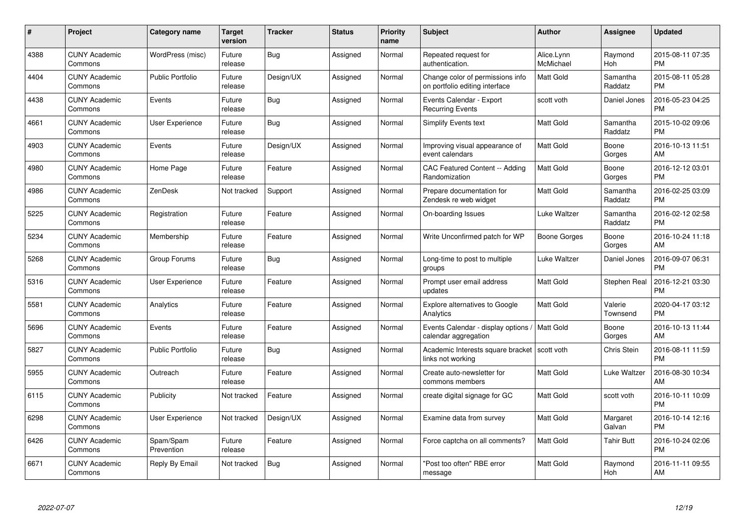| $\#$ | Project                         | <b>Category name</b>    | <b>Target</b><br>version | <b>Tracker</b> | <b>Status</b> | <b>Priority</b><br>name | <b>Subject</b>                                                      | <b>Author</b>           | Assignee            | <b>Updated</b>                |
|------|---------------------------------|-------------------------|--------------------------|----------------|---------------|-------------------------|---------------------------------------------------------------------|-------------------------|---------------------|-------------------------------|
| 4388 | <b>CUNY Academic</b><br>Commons | WordPress (misc)        | Future<br>release        | <b>Bug</b>     | Assigned      | Normal                  | Repeated request for<br>authentication.                             | Alice.Lynn<br>McMichael | Raymond<br>Hoh      | 2015-08-11 07:35<br><b>PM</b> |
| 4404 | <b>CUNY Academic</b><br>Commons | <b>Public Portfolio</b> | Future<br>release        | Design/UX      | Assigned      | Normal                  | Change color of permissions info<br>on portfolio editing interface  | <b>Matt Gold</b>        | Samantha<br>Raddatz | 2015-08-11 05:28<br><b>PM</b> |
| 4438 | <b>CUNY Academic</b><br>Commons | Events                  | Future<br>release        | <b>Bug</b>     | Assigned      | Normal                  | Events Calendar - Export<br><b>Recurring Events</b>                 | scott voth              | Daniel Jones        | 2016-05-23 04:25<br><b>PM</b> |
| 4661 | <b>CUNY Academic</b><br>Commons | User Experience         | Future<br>release        | Bug            | Assigned      | Normal                  | <b>Simplify Events text</b>                                         | Matt Gold               | Samantha<br>Raddatz | 2015-10-02 09:06<br><b>PM</b> |
| 4903 | <b>CUNY Academic</b><br>Commons | Events                  | Future<br>release        | Design/UX      | Assigned      | Normal                  | Improving visual appearance of<br>event calendars                   | <b>Matt Gold</b>        | Boone<br>Gorges     | 2016-10-13 11:51<br>AM        |
| 4980 | <b>CUNY Academic</b><br>Commons | Home Page               | Future<br>release        | Feature        | Assigned      | Normal                  | <b>CAC Featured Content -- Adding</b><br>Randomization              | Matt Gold               | Boone<br>Gorges     | 2016-12-12 03:01<br><b>PM</b> |
| 4986 | <b>CUNY Academic</b><br>Commons | <b>ZenDesk</b>          | Not tracked              | Support        | Assigned      | Normal                  | Prepare documentation for<br>Zendesk re web widget                  | <b>Matt Gold</b>        | Samantha<br>Raddatz | 2016-02-25 03:09<br><b>PM</b> |
| 5225 | <b>CUNY Academic</b><br>Commons | Registration            | Future<br>release        | Feature        | Assigned      | Normal                  | On-boarding Issues                                                  | Luke Waltzer            | Samantha<br>Raddatz | 2016-02-12 02:58<br><b>PM</b> |
| 5234 | <b>CUNY Academic</b><br>Commons | Membership              | Future<br>release        | Feature        | Assigned      | Normal                  | Write Unconfirmed patch for WP                                      | <b>Boone Gorges</b>     | Boone<br>Gorges     | 2016-10-24 11:18<br>AM        |
| 5268 | <b>CUNY Academic</b><br>Commons | Group Forums            | Future<br>release        | <b>Bug</b>     | Assigned      | Normal                  | Long-time to post to multiple<br>groups                             | Luke Waltzer            | Daniel Jones        | 2016-09-07 06:31<br>PM        |
| 5316 | <b>CUNY Academic</b><br>Commons | User Experience         | Future<br>release        | Feature        | Assigned      | Normal                  | Prompt user email address<br>updates                                | Matt Gold               | Stephen Real        | 2016-12-21 03:30<br><b>PM</b> |
| 5581 | <b>CUNY Academic</b><br>Commons | Analytics               | Future<br>release        | Feature        | Assigned      | Normal                  | Explore alternatives to Google<br>Analytics                         | <b>Matt Gold</b>        | Valerie<br>Townsend | 2020-04-17 03:12<br><b>PM</b> |
| 5696 | <b>CUNY Academic</b><br>Commons | Events                  | Future<br>release        | Feature        | Assigned      | Normal                  | Events Calendar - display options /<br>calendar aggregation         | Matt Gold               | Boone<br>Gorges     | 2016-10-13 11:44<br>AM        |
| 5827 | <b>CUNY Academic</b><br>Commons | <b>Public Portfolio</b> | Future<br>release        | <b>Bug</b>     | Assigned      | Normal                  | Academic Interests square bracket   scott voth<br>links not working |                         | Chris Stein         | 2016-08-11 11:59<br><b>PM</b> |
| 5955 | <b>CUNY Academic</b><br>Commons | Outreach                | Future<br>release        | Feature        | Assigned      | Normal                  | Create auto-newsletter for<br>commons members                       | <b>Matt Gold</b>        | Luke Waltzer        | 2016-08-30 10:34<br>AM        |
| 6115 | <b>CUNY Academic</b><br>Commons | Publicity               | Not tracked              | Feature        | Assigned      | Normal                  | create digital signage for GC                                       | <b>Matt Gold</b>        | scott voth          | 2016-10-11 10:09<br><b>PM</b> |
| 6298 | <b>CUNY Academic</b><br>Commons | <b>User Experience</b>  | Not tracked              | Design/UX      | Assigned      | Normal                  | Examine data from survey                                            | Matt Gold               | Margaret<br>Galvan  | 2016-10-14 12:16<br><b>PM</b> |
| 6426 | <b>CUNY Academic</b><br>Commons | Spam/Spam<br>Prevention | Future<br>release        | Feature        | Assigned      | Normal                  | Force captcha on all comments?                                      | Matt Gold               | Tahir Butt          | 2016-10-24 02:06<br><b>PM</b> |
| 6671 | CUNY Academic<br>Commons        | Reply By Email          | Not tracked              | Bug            | Assigned      | Normal                  | 'Post too often" RBE error<br>message                               | <b>Matt Gold</b>        | Raymond<br>Hoh      | 2016-11-11 09:55<br>AM        |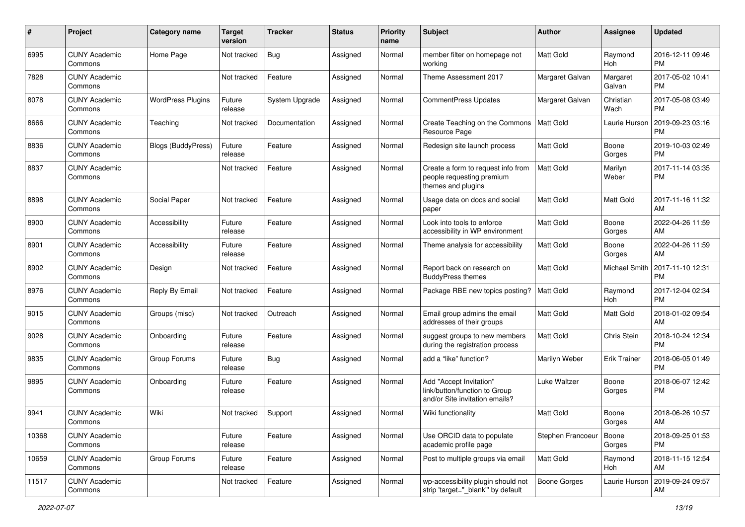| #     | Project                         | <b>Category name</b>     | <b>Target</b><br>version | <b>Tracker</b> | <b>Status</b> | Priority<br>name | Subject                                                                                    | Author            | <b>Assignee</b>     | <b>Updated</b>                |
|-------|---------------------------------|--------------------------|--------------------------|----------------|---------------|------------------|--------------------------------------------------------------------------------------------|-------------------|---------------------|-------------------------------|
| 6995  | <b>CUNY Academic</b><br>Commons | Home Page                | Not tracked              | <b>Bug</b>     | Assigned      | Normal           | member filter on homepage not<br>workina                                                   | <b>Matt Gold</b>  | Raymond<br>Hoh      | 2016-12-11 09:46<br><b>PM</b> |
| 7828  | <b>CUNY Academic</b><br>Commons |                          | Not tracked              | Feature        | Assigned      | Normal           | Theme Assessment 2017                                                                      | Margaret Galvan   | Margaret<br>Galvan  | 2017-05-02 10:41<br><b>PM</b> |
| 8078  | <b>CUNY Academic</b><br>Commons | <b>WordPress Plugins</b> | Future<br>release        | System Upgrade | Assigned      | Normal           | <b>CommentPress Updates</b>                                                                | Margaret Galvan   | Christian<br>Wach   | 2017-05-08 03:49<br><b>PM</b> |
| 8666  | <b>CUNY Academic</b><br>Commons | Teaching                 | Not tracked              | Documentation  | Assigned      | Normal           | Create Teaching on the Commons<br>Resource Page                                            | Matt Gold         | Laurie Hurson       | 2019-09-23 03:16<br><b>PM</b> |
| 8836  | <b>CUNY Academic</b><br>Commons | Blogs (BuddyPress)       | Future<br>release        | Feature        | Assigned      | Normal           | Redesign site launch process                                                               | <b>Matt Gold</b>  | Boone<br>Gorges     | 2019-10-03 02:49<br><b>PM</b> |
| 8837  | <b>CUNY Academic</b><br>Commons |                          | Not tracked              | Feature        | Assigned      | Normal           | Create a form to request info from<br>people requesting premium<br>themes and plugins      | <b>Matt Gold</b>  | Marilyn<br>Weber    | 2017-11-14 03:35<br><b>PM</b> |
| 8898  | <b>CUNY Academic</b><br>Commons | Social Paper             | Not tracked              | Feature        | Assigned      | Normal           | Usage data on docs and social<br>paper                                                     | <b>Matt Gold</b>  | Matt Gold           | 2017-11-16 11:32<br>AM        |
| 8900  | <b>CUNY Academic</b><br>Commons | Accessibility            | Future<br>release        | Feature        | Assigned      | Normal           | Look into tools to enforce<br>accessibility in WP environment                              | <b>Matt Gold</b>  | Boone<br>Gorges     | 2022-04-26 11:59<br>AM        |
| 8901  | <b>CUNY Academic</b><br>Commons | Accessibility            | Future<br>release        | Feature        | Assigned      | Normal           | Theme analysis for accessibility                                                           | <b>Matt Gold</b>  | Boone<br>Gorges     | 2022-04-26 11:59<br>AM        |
| 8902  | <b>CUNY Academic</b><br>Commons | Design                   | Not tracked              | Feature        | Assigned      | Normal           | Report back on research on<br><b>BuddyPress themes</b>                                     | <b>Matt Gold</b>  | Michael Smith       | 2017-11-10 12:31<br><b>PM</b> |
| 8976  | <b>CUNY Academic</b><br>Commons | Reply By Email           | Not tracked              | Feature        | Assigned      | Normal           | Package RBE new topics posting?                                                            | Matt Gold         | Raymond<br>Hoh      | 2017-12-04 02:34<br><b>PM</b> |
| 9015  | <b>CUNY Academic</b><br>Commons | Groups (misc)            | Not tracked              | Outreach       | Assigned      | Normal           | Email group admins the email<br>addresses of their groups                                  | <b>Matt Gold</b>  | Matt Gold           | 2018-01-02 09:54<br>AM        |
| 9028  | <b>CUNY Academic</b><br>Commons | Onboarding               | Future<br>release        | Feature        | Assigned      | Normal           | suggest groups to new members<br>during the registration process                           | <b>Matt Gold</b>  | Chris Stein         | 2018-10-24 12:34<br><b>PM</b> |
| 9835  | <b>CUNY Academic</b><br>Commons | Group Forums             | Future<br>release        | Bug            | Assigned      | Normal           | add a "like" function?                                                                     | Marilyn Weber     | <b>Erik Trainer</b> | 2018-06-05 01:49<br><b>PM</b> |
| 9895  | <b>CUNY Academic</b><br>Commons | Onboarding               | Future<br>release        | Feature        | Assigned      | Normal           | Add "Accept Invitation"<br>link/button/function to Group<br>and/or Site invitation emails? | Luke Waltzer      | Boone<br>Gorges     | 2018-06-07 12:42<br><b>PM</b> |
| 9941  | <b>CUNY Academic</b><br>Commons | Wiki                     | Not tracked              | Support        | Assigned      | Normal           | Wiki functionality                                                                         | <b>Matt Gold</b>  | Boone<br>Gorges     | 2018-06-26 10:57<br>AM        |
| 10368 | <b>CUNY Academic</b><br>Commons |                          | Future<br>release        | Feature        | Assigned      | Normal           | Use ORCID data to populate<br>academic profile page                                        | Stephen Francoeur | Boone<br>Gorges     | 2018-09-25 01:53<br>PM        |
| 10659 | <b>CUNY Academic</b><br>Commons | Group Forums             | Future<br>release        | Feature        | Assigned      | Normal           | Post to multiple groups via email                                                          | Matt Gold         | Raymond<br>Hoh      | 2018-11-15 12:54<br>AM        |
| 11517 | <b>CUNY Academic</b><br>Commons |                          | Not tracked              | Feature        | Assigned      | Normal           | wp-accessibility plugin should not<br>strip 'target="_blank"' by default                   | Boone Gorges      | Laurie Hurson       | 2019-09-24 09:57<br>AM        |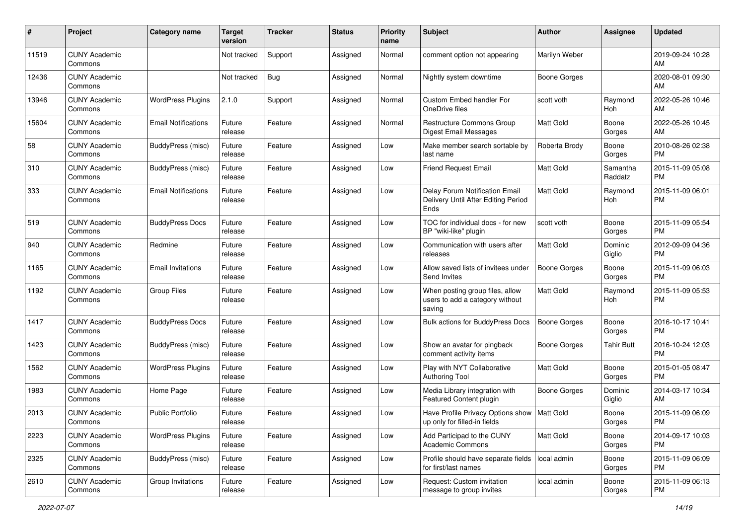| #     | Project                         | <b>Category name</b>       | <b>Target</b><br>version | <b>Tracker</b> | <b>Status</b> | Priority<br>name | <b>Subject</b>                                                                | <b>Author</b>       | <b>Assignee</b>     | <b>Updated</b>                |
|-------|---------------------------------|----------------------------|--------------------------|----------------|---------------|------------------|-------------------------------------------------------------------------------|---------------------|---------------------|-------------------------------|
| 11519 | <b>CUNY Academic</b><br>Commons |                            | Not tracked              | Support        | Assigned      | Normal           | comment option not appearing                                                  | Marilyn Weber       |                     | 2019-09-24 10:28<br>AM        |
| 12436 | <b>CUNY Academic</b><br>Commons |                            | Not tracked              | <b>Bug</b>     | Assigned      | Normal           | Nightly system downtime                                                       | <b>Boone Gorges</b> |                     | 2020-08-01 09:30<br>AM        |
| 13946 | <b>CUNY Academic</b><br>Commons | <b>WordPress Plugins</b>   | 2.1.0                    | Support        | Assigned      | Normal           | <b>Custom Embed handler For</b><br>OneDrive files                             | scott voth          | Raymond<br>Hoh      | 2022-05-26 10:46<br>AM        |
| 15604 | <b>CUNY Academic</b><br>Commons | <b>Email Notifications</b> | Future<br>release        | Feature        | Assigned      | Normal           | <b>Restructure Commons Group</b><br><b>Digest Email Messages</b>              | <b>Matt Gold</b>    | Boone<br>Gorges     | 2022-05-26 10:45<br>AM        |
| 58    | <b>CUNY Academic</b><br>Commons | BuddyPress (misc)          | Future<br>release        | Feature        | Assigned      | Low              | Make member search sortable by<br>last name                                   | Roberta Brody       | Boone<br>Gorges     | 2010-08-26 02:38<br><b>PM</b> |
| 310   | <b>CUNY Academic</b><br>Commons | BuddyPress (misc)          | Future<br>release        | Feature        | Assigned      | Low              | <b>Friend Request Email</b>                                                   | <b>Matt Gold</b>    | Samantha<br>Raddatz | 2015-11-09 05:08<br><b>PM</b> |
| 333   | <b>CUNY Academic</b><br>Commons | <b>Email Notifications</b> | Future<br>release        | Feature        | Assigned      | Low              | Delay Forum Notification Email<br>Delivery Until After Editing Period<br>Ends | <b>Matt Gold</b>    | Raymond<br>Hoh      | 2015-11-09 06:01<br><b>PM</b> |
| 519   | <b>CUNY Academic</b><br>Commons | <b>BuddyPress Docs</b>     | Future<br>release        | Feature        | Assigned      | Low              | TOC for individual docs - for new<br>BP "wiki-like" plugin                    | scott voth          | Boone<br>Gorges     | 2015-11-09 05:54<br><b>PM</b> |
| 940   | <b>CUNY Academic</b><br>Commons | Redmine                    | Future<br>release        | Feature        | Assigned      | Low              | Communication with users after<br>releases                                    | <b>Matt Gold</b>    | Dominic<br>Giglio   | 2012-09-09 04:36<br><b>PM</b> |
| 1165  | <b>CUNY Academic</b><br>Commons | <b>Email Invitations</b>   | Future<br>release        | Feature        | Assigned      | Low              | Allow saved lists of invitees under<br>Send Invites                           | <b>Boone Gorges</b> | Boone<br>Gorges     | 2015-11-09 06:03<br><b>PM</b> |
| 1192  | <b>CUNY Academic</b><br>Commons | <b>Group Files</b>         | Future<br>release        | Feature        | Assigned      | Low              | When posting group files, allow<br>users to add a category without<br>saving  | <b>Matt Gold</b>    | Raymond<br>Hoh      | 2015-11-09 05:53<br><b>PM</b> |
| 1417  | <b>CUNY Academic</b><br>Commons | <b>BuddyPress Docs</b>     | Future<br>release        | Feature        | Assigned      | Low              | <b>Bulk actions for BuddyPress Docs</b>                                       | <b>Boone Gorges</b> | Boone<br>Gorges     | 2016-10-17 10:41<br><b>PM</b> |
| 1423  | <b>CUNY Academic</b><br>Commons | BuddyPress (misc)          | Future<br>release        | Feature        | Assigned      | Low              | Show an avatar for pingback<br>comment activity items                         | Boone Gorges        | Tahir Butt          | 2016-10-24 12:03<br><b>PM</b> |
| 1562  | <b>CUNY Academic</b><br>Commons | <b>WordPress Plugins</b>   | Future<br>release        | Feature        | Assigned      | Low              | Play with NYT Collaborative<br><b>Authoring Tool</b>                          | <b>Matt Gold</b>    | Boone<br>Gorges     | 2015-01-05 08:47<br><b>PM</b> |
| 1983  | <b>CUNY Academic</b><br>Commons | Home Page                  | Future<br>release        | Feature        | Assigned      | Low              | Media Library integration with<br>Featured Content plugin                     | <b>Boone Gorges</b> | Dominic<br>Giglio   | 2014-03-17 10:34<br>AM        |
| 2013  | <b>CUNY Academic</b><br>Commons | <b>Public Portfolio</b>    | Future<br>release        | Feature        | Assigned      | Low              | Have Profile Privacy Options show   Matt Gold<br>up only for filled-in fields |                     | Boone<br>Gorges     | 2015-11-09 06:09<br>PM        |
| 2223  | <b>CUNY Academic</b><br>Commons | <b>WordPress Plugins</b>   | Future<br>release        | Feature        | Assigned      | Low              | Add Participad to the CUNY<br>Academic Commons                                | <b>Matt Gold</b>    | Boone<br>Gorges     | 2014-09-17 10:03<br><b>PM</b> |
| 2325  | <b>CUNY Academic</b><br>Commons | BuddyPress (misc)          | Future<br>release        | Feature        | Assigned      | Low              | Profile should have separate fields   local admin<br>for first/last names     |                     | Boone<br>Gorges     | 2015-11-09 06:09<br><b>PM</b> |
| 2610  | <b>CUNY Academic</b><br>Commons | Group Invitations          | Future<br>release        | Feature        | Assigned      | Low              | Request: Custom invitation<br>message to group invites                        | local admin         | Boone<br>Gorges     | 2015-11-09 06:13<br><b>PM</b> |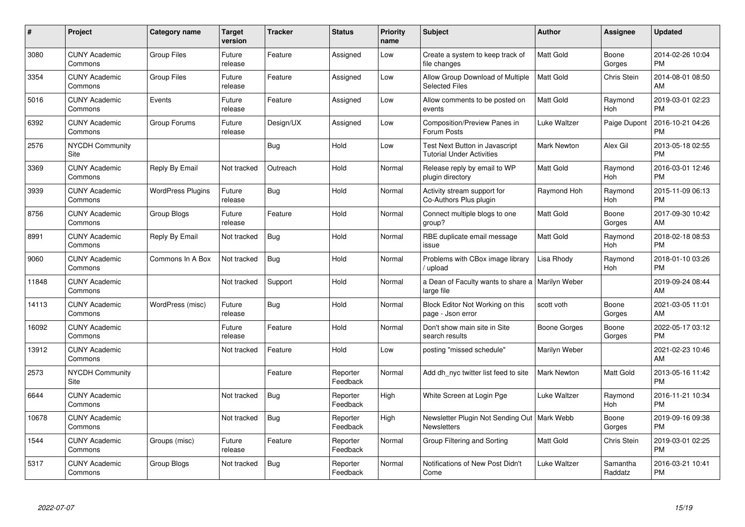| #     | <b>Project</b>                  | Category name            | <b>Target</b><br>version | <b>Tracker</b> | <b>Status</b>        | <b>Priority</b><br>name | <b>Subject</b>                                                      | Author              | Assignee            | <b>Updated</b>                |
|-------|---------------------------------|--------------------------|--------------------------|----------------|----------------------|-------------------------|---------------------------------------------------------------------|---------------------|---------------------|-------------------------------|
| 3080  | <b>CUNY Academic</b><br>Commons | <b>Group Files</b>       | Future<br>release        | Feature        | Assigned             | Low                     | Create a system to keep track of<br>file changes                    | <b>Matt Gold</b>    | Boone<br>Gorges     | 2014-02-26 10:04<br><b>PM</b> |
| 3354  | <b>CUNY Academic</b><br>Commons | <b>Group Files</b>       | Future<br>release        | Feature        | Assigned             | Low                     | Allow Group Download of Multiple<br><b>Selected Files</b>           | <b>Matt Gold</b>    | <b>Chris Stein</b>  | 2014-08-01 08:50<br>AM        |
| 5016  | <b>CUNY Academic</b><br>Commons | Events                   | Future<br>release        | Feature        | Assigned             | Low                     | Allow comments to be posted on<br>events                            | <b>Matt Gold</b>    | Raymond<br>Hoh      | 2019-03-01 02:23<br><b>PM</b> |
| 6392  | <b>CUNY Academic</b><br>Commons | Group Forums             | Future<br>release        | Design/UX      | Assigned             | Low                     | Composition/Preview Panes in<br>Forum Posts                         | Luke Waltzer        | Paige Dupont        | 2016-10-21 04:26<br><b>PM</b> |
| 2576  | <b>NYCDH Community</b><br>Site  |                          |                          | Bug            | Hold                 | Low                     | Test Next Button in Javascript<br><b>Tutorial Under Activities</b>  | <b>Mark Newton</b>  | Alex Gil            | 2013-05-18 02:55<br><b>PM</b> |
| 3369  | <b>CUNY Academic</b><br>Commons | Reply By Email           | Not tracked              | Outreach       | Hold                 | Normal                  | Release reply by email to WP<br>plugin directory                    | <b>Matt Gold</b>    | Raymond<br>Hoh      | 2016-03-01 12:46<br><b>PM</b> |
| 3939  | <b>CUNY Academic</b><br>Commons | <b>WordPress Plugins</b> | Future<br>release        | Bug            | Hold                 | Normal                  | Activity stream support for<br>Co-Authors Plus plugin               | Raymond Hoh         | Raymond<br>Hoh      | 2015-11-09 06:13<br><b>PM</b> |
| 8756  | <b>CUNY Academic</b><br>Commons | Group Blogs              | Future<br>release        | Feature        | Hold                 | Normal                  | Connect multiple blogs to one<br>group?                             | <b>Matt Gold</b>    | Boone<br>Gorges     | 2017-09-30 10:42<br>AM        |
| 8991  | <b>CUNY Academic</b><br>Commons | Reply By Email           | Not tracked              | Bug            | Hold                 | Normal                  | RBE duplicate email message<br>issue                                | <b>Matt Gold</b>    | Raymond<br>Hoh      | 2018-02-18 08:53<br><b>PM</b> |
| 9060  | <b>CUNY Academic</b><br>Commons | Commons In A Box         | Not tracked              | <b>Bug</b>     | Hold                 | Normal                  | Problems with CBox image library<br>/ upload                        | Lisa Rhody          | Raymond<br>Hoh      | 2018-01-10 03:26<br><b>PM</b> |
| 11848 | <b>CUNY Academic</b><br>Commons |                          | Not tracked              | Support        | Hold                 | Normal                  | a Dean of Faculty wants to share a<br>large file                    | Marilyn Weber       |                     | 2019-09-24 08:44<br>AM        |
| 14113 | <b>CUNY Academic</b><br>Commons | WordPress (misc)         | Future<br>release        | Bug            | Hold                 | Normal                  | Block Editor Not Working on this<br>page - Json error               | scott voth          | Boone<br>Gorges     | 2021-03-05 11:01<br>AM        |
| 16092 | <b>CUNY Academic</b><br>Commons |                          | Future<br>release        | Feature        | Hold                 | Normal                  | Don't show main site in Site<br>search results                      | Boone Gorges        | Boone<br>Gorges     | 2022-05-17 03:12<br><b>PM</b> |
| 13912 | <b>CUNY Academic</b><br>Commons |                          | Not tracked              | Feature        | Hold                 | Low                     | posting "missed schedule"                                           | Marilyn Weber       |                     | 2021-02-23 10:46<br>AM        |
| 2573  | <b>NYCDH Community</b><br>Site  |                          |                          | Feature        | Reporter<br>Feedback | Normal                  | Add dh_nyc twitter list feed to site                                | Mark Newton         | Matt Gold           | 2013-05-16 11:42<br><b>PM</b> |
| 6644  | <b>CUNY Academic</b><br>Commons |                          | Not tracked              | Bug            | Reporter<br>Feedback | High                    | White Screen at Login Pge                                           | Luke Waltzer        | Raymond<br>Hoh      | 2016-11-21 10:34<br><b>PM</b> |
| 10678 | <b>CUNY Academic</b><br>Commons |                          | Not tracked              | Bug            | Reporter<br>Feedback | High                    | Newsletter Plugin Not Sending Out   Mark Webb<br><b>Newsletters</b> |                     | Boone<br>Gorges     | 2019-09-16 09:38<br><b>PM</b> |
| 1544  | <b>CUNY Academic</b><br>Commons | Groups (misc)            | Future<br>release        | Feature        | Reporter<br>Feedback | Normal                  | Group Filtering and Sorting                                         | <b>Matt Gold</b>    | Chris Stein         | 2019-03-01 02:25<br><b>PM</b> |
| 5317  | <b>CUNY Academic</b><br>Commons | Group Blogs              | Not tracked              | Bug            | Reporter<br>Feedback | Normal                  | Notifications of New Post Didn't<br>Come                            | <b>Luke Waltzer</b> | Samantha<br>Raddatz | 2016-03-21 10:41<br><b>PM</b> |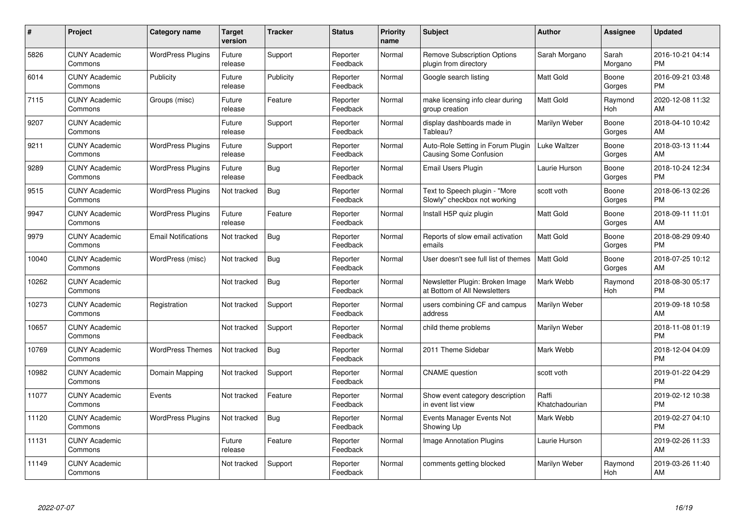| #     | <b>Project</b>                  | <b>Category name</b>       | <b>Target</b><br>version | <b>Tracker</b> | <b>Status</b>        | <b>Priority</b><br>name | <b>Subject</b>                                                     | <b>Author</b>           | Assignee         | <b>Updated</b>                |
|-------|---------------------------------|----------------------------|--------------------------|----------------|----------------------|-------------------------|--------------------------------------------------------------------|-------------------------|------------------|-------------------------------|
| 5826  | <b>CUNY Academic</b><br>Commons | <b>WordPress Plugins</b>   | Future<br>release        | Support        | Reporter<br>Feedback | Normal                  | <b>Remove Subscription Options</b><br>plugin from directory        | Sarah Morgano           | Sarah<br>Morgano | 2016-10-21 04:14<br><b>PM</b> |
| 6014  | <b>CUNY Academic</b><br>Commons | Publicity                  | Future<br>release        | Publicity      | Reporter<br>Feedback | Normal                  | Google search listing                                              | <b>Matt Gold</b>        | Boone<br>Gorges  | 2016-09-21 03:48<br><b>PM</b> |
| 7115  | <b>CUNY Academic</b><br>Commons | Groups (misc)              | Future<br>release        | Feature        | Reporter<br>Feedback | Normal                  | make licensing info clear during<br>group creation                 | <b>Matt Gold</b>        | Raymond<br>Hoh   | 2020-12-08 11:32<br>AM        |
| 9207  | <b>CUNY Academic</b><br>Commons |                            | Future<br>release        | Support        | Reporter<br>Feedback | Normal                  | display dashboards made in<br>Tableau?                             | Marilyn Weber           | Boone<br>Gorges  | 2018-04-10 10:42<br>AM        |
| 9211  | <b>CUNY Academic</b><br>Commons | <b>WordPress Plugins</b>   | Future<br>release        | Support        | Reporter<br>Feedback | Normal                  | Auto-Role Setting in Forum Plugin<br><b>Causing Some Confusion</b> | Luke Waltzer            | Boone<br>Gorges  | 2018-03-13 11:44<br>AM        |
| 9289  | <b>CUNY Academic</b><br>Commons | <b>WordPress Plugins</b>   | Future<br>release        | Bug            | Reporter<br>Feedback | Normal                  | Email Users Plugin                                                 | Laurie Hurson           | Boone<br>Gorges  | 2018-10-24 12:34<br><b>PM</b> |
| 9515  | <b>CUNY Academic</b><br>Commons | <b>WordPress Plugins</b>   | Not tracked              | <b>Bug</b>     | Reporter<br>Feedback | Normal                  | Text to Speech plugin - "More<br>Slowly" checkbox not working      | scott voth              | Boone<br>Gorges  | 2018-06-13 02:26<br><b>PM</b> |
| 9947  | <b>CUNY Academic</b><br>Commons | <b>WordPress Plugins</b>   | Future<br>release        | Feature        | Reporter<br>Feedback | Normal                  | Install H5P quiz plugin                                            | <b>Matt Gold</b>        | Boone<br>Gorges  | 2018-09-11 11:01<br>AM        |
| 9979  | <b>CUNY Academic</b><br>Commons | <b>Email Notifications</b> | Not tracked              | Bug            | Reporter<br>Feedback | Normal                  | Reports of slow email activation<br>emails                         | <b>Matt Gold</b>        | Boone<br>Gorges  | 2018-08-29 09:40<br><b>PM</b> |
| 10040 | <b>CUNY Academic</b><br>Commons | WordPress (misc)           | Not tracked              | Bug            | Reporter<br>Feedback | Normal                  | User doesn't see full list of themes                               | <b>Matt Gold</b>        | Boone<br>Gorges  | 2018-07-25 10:12<br>AM        |
| 10262 | <b>CUNY Academic</b><br>Commons |                            | Not tracked              | <b>Bug</b>     | Reporter<br>Feedback | Normal                  | Newsletter Plugin: Broken Image<br>at Bottom of All Newsletters    | Mark Webb               | Raymond<br>Hoh   | 2018-08-30 05:17<br><b>PM</b> |
| 10273 | <b>CUNY Academic</b><br>Commons | Registration               | Not tracked              | Support        | Reporter<br>Feedback | Normal                  | users combining CF and campus<br>address                           | Marilyn Weber           |                  | 2019-09-18 10:58<br>AM        |
| 10657 | <b>CUNY Academic</b><br>Commons |                            | Not tracked              | Support        | Reporter<br>Feedback | Normal                  | child theme problems                                               | Marilyn Weber           |                  | 2018-11-08 01:19<br><b>PM</b> |
| 10769 | <b>CUNY Academic</b><br>Commons | <b>WordPress Themes</b>    | Not tracked              | Bug            | Reporter<br>Feedback | Normal                  | 2011 Theme Sidebar                                                 | Mark Webb               |                  | 2018-12-04 04:09<br><b>PM</b> |
| 10982 | <b>CUNY Academic</b><br>Commons | Domain Mapping             | Not tracked              | Support        | Reporter<br>Feedback | Normal                  | <b>CNAME</b> question                                              | scott voth              |                  | 2019-01-22 04:29<br><b>PM</b> |
| 11077 | <b>CUNY Academic</b><br>Commons | Events                     | Not tracked              | Feature        | Reporter<br>Feedback | Normal                  | Show event category description<br>in event list view              | Raffi<br>Khatchadourian |                  | 2019-02-12 10:38<br><b>PM</b> |
| 11120 | <b>CUNY Academic</b><br>Commons | <b>WordPress Plugins</b>   | Not tracked              | Bug            | Reporter<br>Feedback | Normal                  | Events Manager Events Not<br>Showing Up                            | Mark Webb               |                  | 2019-02-27 04:10<br><b>PM</b> |
| 11131 | <b>CUNY Academic</b><br>Commons |                            | Future<br>release        | Feature        | Reporter<br>Feedback | Normal                  | <b>Image Annotation Plugins</b>                                    | Laurie Hurson           |                  | 2019-02-26 11:33<br>AM        |
| 11149 | <b>CUNY Academic</b><br>Commons |                            | Not tracked              | Support        | Reporter<br>Feedback | Normal                  | comments getting blocked                                           | Marilyn Weber           | Raymond<br>Hoh   | 2019-03-26 11:40<br>AM        |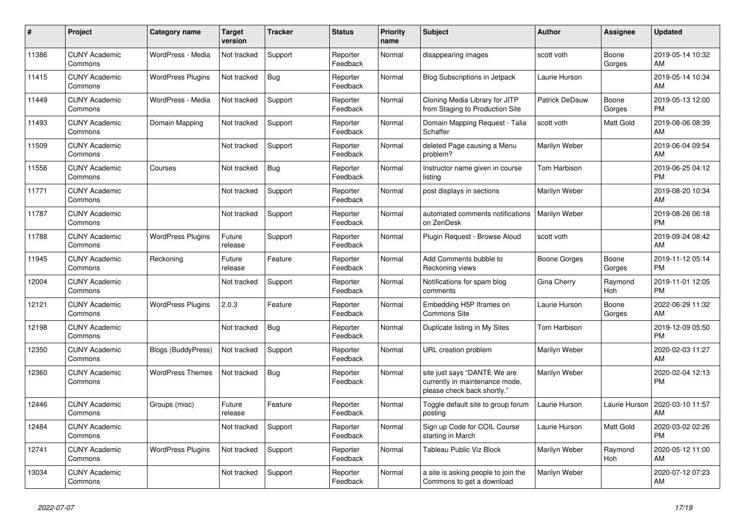| #     | <b>Project</b>                  | <b>Category name</b>      | <b>Target</b><br>version | <b>Tracker</b> | <b>Status</b>        | <b>Priority</b><br>name | <b>Subject</b>                                                                                | <b>Author</b>  | Assignee        | <b>Updated</b>                |
|-------|---------------------------------|---------------------------|--------------------------|----------------|----------------------|-------------------------|-----------------------------------------------------------------------------------------------|----------------|-----------------|-------------------------------|
| 11386 | <b>CUNY Academic</b><br>Commons | WordPress - Media         | Not tracked              | Support        | Reporter<br>Feedback | Normal                  | disappearing images                                                                           | scott voth     | Boone<br>Gorges | 2019-05-14 10:32<br>AM        |
| 11415 | <b>CUNY Academic</b><br>Commons | <b>WordPress Plugins</b>  | Not tracked              | <b>Bug</b>     | Reporter<br>Feedback | Normal                  | <b>Blog Subscriptions in Jetpack</b>                                                          | Laurie Hurson  |                 | 2019-05-14 10:34<br>AM        |
| 11449 | <b>CUNY Academic</b><br>Commons | WordPress - Media         | Not tracked              | Support        | Reporter<br>Feedback | Normal                  | Cloning Media Library for JITP<br>from Staging to Production Site                             | Patrick DeDauw | Boone<br>Gorges | 2019-05-13 12:00<br><b>PM</b> |
| 11493 | <b>CUNY Academic</b><br>Commons | Domain Mapping            | Not tracked              | Support        | Reporter<br>Feedback | Normal                  | Domain Mapping Request - Talia<br>Schaffer                                                    | scott voth     | Matt Gold       | 2019-08-06 08:39<br>AM        |
| 11509 | <b>CUNY Academic</b><br>Commons |                           | Not tracked              | Support        | Reporter<br>Feedback | Normal                  | deleted Page causing a Menu<br>problem?                                                       | Marilyn Weber  |                 | 2019-06-04 09:54<br>AM        |
| 11556 | <b>CUNY Academic</b><br>Commons | Courses                   | Not tracked              | Bug            | Reporter<br>Feedback | Normal                  | Instructor name given in course<br>listing                                                    | Tom Harbison   |                 | 2019-06-25 04:12<br><b>PM</b> |
| 11771 | <b>CUNY Academic</b><br>Commons |                           | Not tracked              | Support        | Reporter<br>Feedback | Normal                  | post displays in sections                                                                     | Marilyn Weber  |                 | 2019-08-20 10:34<br>AM        |
| 11787 | <b>CUNY Academic</b><br>Commons |                           | Not tracked              | Support        | Reporter<br>Feedback | Normal                  | automated comments notifications<br>on ZenDesk                                                | Marilyn Weber  |                 | 2019-08-26 06:18<br><b>PM</b> |
| 11788 | <b>CUNY Academic</b><br>Commons | <b>WordPress Plugins</b>  | Future<br>release        | Support        | Reporter<br>Feedback | Normal                  | Plugin Request - Browse Aloud                                                                 | scott voth     |                 | 2019-09-24 08:42<br>AM        |
| 11945 | <b>CUNY Academic</b><br>Commons | Reckoning                 | Future<br>release        | Feature        | Reporter<br>Feedback | Normal                  | Add Comments bubble to<br>Reckoning views                                                     | Boone Gorges   | Boone<br>Gorges | 2019-11-12 05:14<br><b>PM</b> |
| 12004 | <b>CUNY Academic</b><br>Commons |                           | Not tracked              | Support        | Reporter<br>Feedback | Normal                  | Notifications for spam blog<br>comments                                                       | Gina Cherry    | Raymond<br>Hoh  | 2019-11-01 12:05<br><b>PM</b> |
| 12121 | <b>CUNY Academic</b><br>Commons | <b>WordPress Plugins</b>  | 2.0.3                    | Feature        | Reporter<br>Feedback | Normal                  | Embedding H5P Iframes on<br><b>Commons Site</b>                                               | Laurie Hurson  | Boone<br>Gorges | 2022-06-29 11:32<br>AM        |
| 12198 | <b>CUNY Academic</b><br>Commons |                           | Not tracked              | <b>Bug</b>     | Reporter<br>Feedback | Normal                  | Duplicate listing in My Sites                                                                 | Tom Harbison   |                 | 2019-12-09 05:50<br><b>PM</b> |
| 12350 | <b>CUNY Academic</b><br>Commons | <b>Blogs (BuddyPress)</b> | Not tracked              | Support        | Reporter<br>Feedback | Normal                  | URL creation problem                                                                          | Marilyn Weber  |                 | 2020-02-03 11:27<br>AM        |
| 12360 | <b>CUNY Academic</b><br>Commons | <b>WordPress Themes</b>   | Not tracked              | Bug            | Reporter<br>Feedback | Normal                  | site just says "DANTE We are<br>currently in maintenance mode,<br>please check back shortly." | Marilyn Weber  |                 | 2020-02-04 12:13<br><b>PM</b> |
| 12446 | <b>CUNY Academic</b><br>Commons | Groups (misc)             | Future<br>release        | Feature        | Reporter<br>Feedback | Normal                  | Toggle default site to group forum<br>posting                                                 | Laurie Hurson  | Laurie Hurson   | 2020-03-10 11:57<br>AM        |
| 12484 | <b>CUNY Academic</b><br>Commons |                           | Not tracked              | Support        | Reporter<br>Feedback | Normal                  | Sign up Code for COIL Course<br>starting in March                                             | Laurie Hurson  | Matt Gold       | 2020-03-02 02:26<br><b>PM</b> |
| 12741 | <b>CUNY Academic</b><br>Commons | <b>WordPress Plugins</b>  | Not tracked              | Support        | Reporter<br>Feedback | Normal                  | Tableau Public Viz Block                                                                      | Marilyn Weber  | Raymond<br>Hoh  | 2020-05-12 11:00<br>AM        |
| 13034 | <b>CUNY Academic</b><br>Commons |                           | Not tracked              | Support        | Reporter<br>Feedback | Normal                  | a site is asking people to join the<br>Commons to get a download                              | Marilyn Weber  |                 | 2020-07-12 07:23<br>AM        |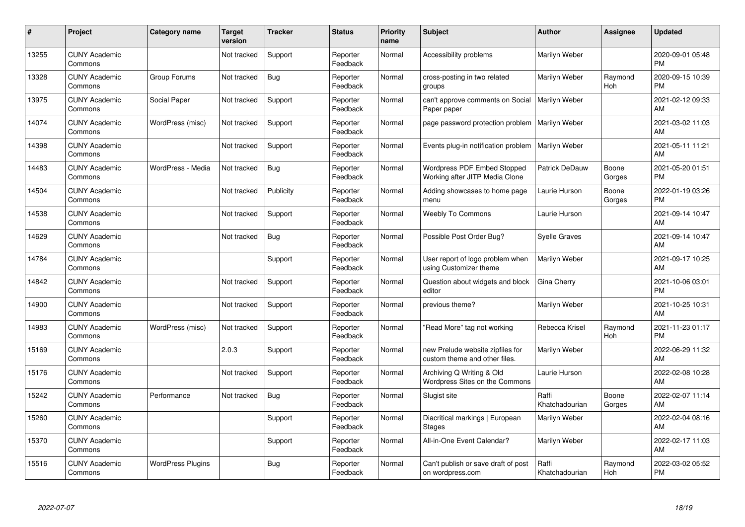| #     | Project                         | <b>Category name</b>     | <b>Target</b><br>version | <b>Tracker</b> | <b>Status</b>        | Priority<br>name | <b>Subject</b>                                                    | <b>Author</b>           | <b>Assignee</b> | <b>Updated</b>                |
|-------|---------------------------------|--------------------------|--------------------------|----------------|----------------------|------------------|-------------------------------------------------------------------|-------------------------|-----------------|-------------------------------|
| 13255 | <b>CUNY Academic</b><br>Commons |                          | Not tracked              | Support        | Reporter<br>Feedback | Normal           | Accessibility problems                                            | Marilyn Weber           |                 | 2020-09-01 05:48<br><b>PM</b> |
| 13328 | <b>CUNY Academic</b><br>Commons | Group Forums             | Not tracked              | Bug            | Reporter<br>Feedback | Normal           | cross-posting in two related<br>groups                            | Marilyn Weber           | Raymond<br>Hoh  | 2020-09-15 10:39<br><b>PM</b> |
| 13975 | <b>CUNY Academic</b><br>Commons | Social Paper             | Not tracked              | Support        | Reporter<br>Feedback | Normal           | can't approve comments on Social<br>Paper paper                   | Marilyn Weber           |                 | 2021-02-12 09:33<br>AM        |
| 14074 | <b>CUNY Academic</b><br>Commons | WordPress (misc)         | Not tracked              | Support        | Reporter<br>Feedback | Normal           | page password protection problem                                  | Marilyn Weber           |                 | 2021-03-02 11:03<br>AM        |
| 14398 | <b>CUNY Academic</b><br>Commons |                          | Not tracked              | Support        | Reporter<br>Feedback | Normal           | Events plug-in notification problem                               | Marilyn Weber           |                 | 2021-05-11 11:21<br>AM        |
| 14483 | <b>CUNY Academic</b><br>Commons | WordPress - Media        | Not tracked              | Bug            | Reporter<br>Feedback | Normal           | Wordpress PDF Embed Stopped<br>Working after JITP Media Clone     | Patrick DeDauw          | Boone<br>Gorges | 2021-05-20 01:51<br><b>PM</b> |
| 14504 | <b>CUNY Academic</b><br>Commons |                          | Not tracked              | Publicity      | Reporter<br>Feedback | Normal           | Adding showcases to home page<br>menu                             | Laurie Hurson           | Boone<br>Gorges | 2022-01-19 03:26<br><b>PM</b> |
| 14538 | <b>CUNY Academic</b><br>Commons |                          | Not tracked              | Support        | Reporter<br>Feedback | Normal           | <b>Weebly To Commons</b>                                          | Laurie Hurson           |                 | 2021-09-14 10:47<br>AM        |
| 14629 | <b>CUNY Academic</b><br>Commons |                          | Not tracked              | Bug            | Reporter<br>Feedback | Normal           | Possible Post Order Bug?                                          | <b>Syelle Graves</b>    |                 | 2021-09-14 10:47<br>AM        |
| 14784 | <b>CUNY Academic</b><br>Commons |                          |                          | Support        | Reporter<br>Feedback | Normal           | User report of logo problem when<br>using Customizer theme        | Marilyn Weber           |                 | 2021-09-17 10:25<br>AM        |
| 14842 | <b>CUNY Academic</b><br>Commons |                          | Not tracked              | Support        | Reporter<br>Feedback | Normal           | Question about widgets and block<br>editor                        | Gina Cherry             |                 | 2021-10-06 03:01<br><b>PM</b> |
| 14900 | <b>CUNY Academic</b><br>Commons |                          | Not tracked              | Support        | Reporter<br>Feedback | Normal           | previous theme?                                                   | Marilyn Weber           |                 | 2021-10-25 10:31<br>AM        |
| 14983 | <b>CUNY Academic</b><br>Commons | WordPress (misc)         | Not tracked              | Support        | Reporter<br>Feedback | Normal           | "Read More" tag not working                                       | Rebecca Krisel          | Raymond<br>Hoh  | 2021-11-23 01:17<br><b>PM</b> |
| 15169 | <b>CUNY Academic</b><br>Commons |                          | 2.0.3                    | Support        | Reporter<br>Feedback | Normal           | new Prelude website zipfiles for<br>custom theme and other files. | Marilyn Weber           |                 | 2022-06-29 11:32<br>AM        |
| 15176 | <b>CUNY Academic</b><br>Commons |                          | Not tracked              | Support        | Reporter<br>Feedback | Normal           | Archiving Q Writing & Old<br>Wordpress Sites on the Commons       | Laurie Hurson           |                 | 2022-02-08 10:28<br>AM        |
| 15242 | <b>CUNY Academic</b><br>Commons | Performance              | Not tracked              | Bug            | Reporter<br>Feedback | Normal           | Slugist site                                                      | Raffi<br>Khatchadourian | Boone<br>Gorges | 2022-02-07 11:14<br>AM        |
| 15260 | <b>CUNY Academic</b><br>Commons |                          |                          | Support        | Reporter<br>Feedback | Normal           | Diacritical markings   European<br><b>Stages</b>                  | Marilyn Weber           |                 | 2022-02-04 08:16<br>AM        |
| 15370 | <b>CUNY Academic</b><br>Commons |                          |                          | Support        | Reporter<br>Feedback | Normal           | All-in-One Event Calendar?                                        | Marilyn Weber           |                 | 2022-02-17 11:03<br>AM        |
| 15516 | <b>CUNY Academic</b><br>Commons | <b>WordPress Plugins</b> |                          | <b>Bug</b>     | Reporter<br>Feedback | Normal           | Can't publish or save draft of post<br>on wordpress.com           | Raffi<br>Khatchadourian | Raymond<br>Hoh  | 2022-03-02 05:52<br><b>PM</b> |